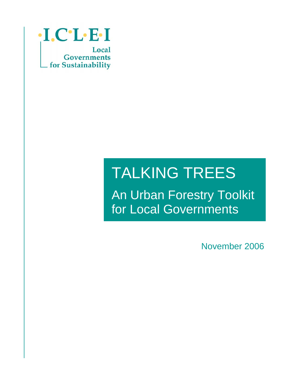

# TALKING TREES

An Urban Forestry Toolkit for Local Governments

November 2006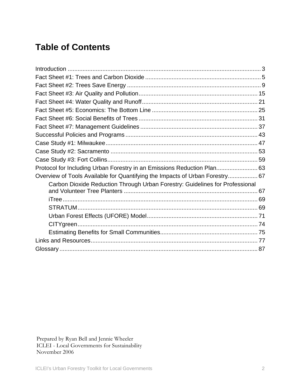## **Table of Contents**

| Protocol for Including Urban Forestry in an Emissions Reduction Plan 63      |  |
|------------------------------------------------------------------------------|--|
| Overview of Tools Available for Quantifying the Impacts of Urban Forestry 67 |  |
| Carbon Dioxide Reduction Through Urban Forestry: Guidelines for Professional |  |
|                                                                              |  |
|                                                                              |  |
|                                                                              |  |
|                                                                              |  |
|                                                                              |  |
|                                                                              |  |
|                                                                              |  |
|                                                                              |  |

Prepared by Ryan Bell and Jennie Wheeler ICLEI - Local Governments for Sustainability November 2006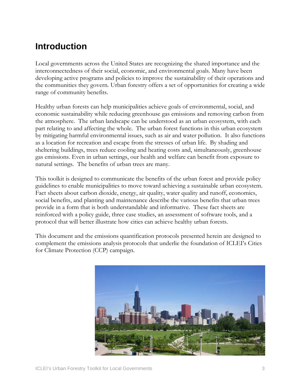## <span id="page-2-0"></span>**Introduction**

Local governments across the United States are recognizing the shared importance and the interconnectedness of their social, economic, and environmental goals. Many have been developing active programs and policies to improve the sustainability of their operations and the communities they govern. Urban forestry offers a set of opportunities for creating a wide range of community benefits.

Healthy urban forests can help municipalities achieve goals of environmental, social, and economic sustainability while reducing greenhouse gas emissions and removing carbon from the atmosphere. The urban landscape can be understood as an urban ecosystem, with each part relating to and affecting the whole. The urban forest functions in this urban ecosystem by mitigating harmful environmental issues, such as air and water pollution. It also functions as a location for recreation and escape from the stresses of urban life. By shading and sheltering buildings, trees reduce cooling and heating costs and, simultaneously, greenhouse gas emissions. Even in urban settings, our health and welfare can benefit from exposure to natural settings. The benefits of urban trees are many.

This toolkit is designed to communicate the benefits of the urban forest and provide policy guidelines to enable municipalities to move toward achieving a sustainable urban ecosystem. Fact sheets about carbon dioxide, energy, air quality, water quality and runoff, economics, social benefits, and planting and maintenance describe the various benefits that urban trees provide in a form that is both understandable and informative. These fact sheets are reinforced with a policy guide, three case studies, an assessment of software tools, and a protocol that will better illustrate how cities can achieve healthy urban forests.

This document and the emissions quantification protocols presented herein are designed to complement the emissions analysis protocols that underlie the foundation of ICLEI's Cities for Climate Protection (CCP) campaign.

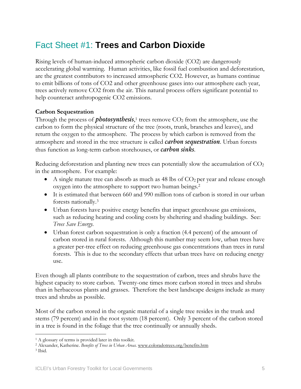## <span id="page-4-0"></span>Fact Sheet #1: **Trees and Carbon Dioxide**

Rising levels of human-induced atmospheric carbon dioxide (CO2) are dangerously accelerating global warming. Human activities, like fossil fuel combustion and deforestation, are the greatest contributors to increased atmospheric CO2. However, as humans continue to emit billions of tons of CO2 and other greenhouse gases into our atmosphere each year, trees actively remove CO2 from the air. This natural process offers significant potential to help counteract anthropogenic CO2 emissions.

## **Carbon Sequestration**

Through the process of *photosynthesis*,<sup>1</sup> trees remove CO<sub>2</sub> from the atmosphere, use the carbon to form the physical structure of the tree (roots, trunk, branches and leaves), and return the oxygen to the atmosphere. The process by which carbon is removed from the atmosphere and stored in the tree structure is called *carbon sequestration*. Urban forests thus function as long-term carbon storehouses, or *carbon sinks*.

Reducing deforestation and planting new trees can potentially slow the accumulation of CO<sub>2</sub> in the atmosphere. For example:

- A single mature tree can absorb as much as 48 lbs of  $CO<sub>2</sub>$  per year and release enough oxygen into the atmosphere to support two human beings.[2](#page-4-2)
- It is estimated that between 660 and 990 million tons of carbon is stored in our urban forests nationally.[3](#page-4-3)
- Urban forests have positive energy benefits that impact greenhouse gas emissions, such as reducing heating and cooling costs by sheltering and shading buildings. See: *Trees Save Energy.*
- Urban forest carbon sequestration is only a fraction (4.4 percent) of the amount of carbon stored in rural forests. Although this number may seem low, urban trees have a greater per-tree effect on reducing greenhouse gas concentrations than trees in rural forests. This is due to the secondary effects that urban trees have on reducing energy use.

Even though all plants contribute to the sequestration of carbon, trees and shrubs have the highest capacity to store carbon. Twenty-one times more carbon stored in trees and shrubs than in herbaceous plants and grasses. Therefore the best landscape designs include as many trees and shrubs as possible.

Most of the carbon stored in the organic material of a single tree resides in the trunk and stems (79 percent) and in the root system (18 percent). Only 3 percent of the carbon stored in a tree is found in the foliage that the tree continually or annually sheds.

 $\overline{a}$ 

<span id="page-4-2"></span><span id="page-4-1"></span><sup>1</sup> A glossary of terms is provided later in this toolkit. 2 Alexander, Katherine. *Benefits of Trees in Urban Areas.* [www.coloradotrees.org/benefits.htm](http://www.coloradotrees.org/benefits.htm)

<span id="page-4-3"></span><sup>3</sup> Ibid.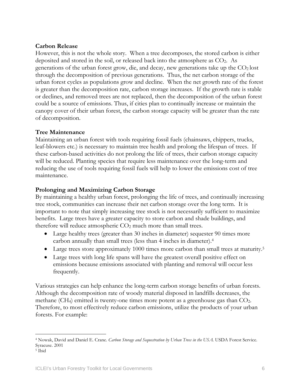## **Carbon Release**

However, this is not the whole story. When a tree decomposes, the stored carbon is either deposited and stored in the soil, or released back into the atmosphere as CO2. As generations of the urban forest grow, die, and decay, new generations take up the  $CO<sub>2</sub>$  lost through the decomposition of previous generations. Thus, the net carbon storage of the urban forest cycles as populations grow and decline. When the net growth rate of the forest is greater than the decomposition rate, carbon storage increases. If the growth rate is stable or declines, and removed trees are not replaced, then the decomposition of the urban forest could be a source of emissions. Thus, if cities plan to continually increase or maintain the canopy cover of their urban forest, the carbon storage capacity will be greater than the rate of decomposition.

## **Tree Maintenance**

Maintaining an urban forest with tools requiring fossil fuels (chainsaws, chippers, trucks, leaf-blowers etc.) is necessary to maintain tree health and prolong the lifespan of trees. If these carbon-based activities do not prolong the life of trees, their carbon storage capacity will be reduced. Planting species that require less maintenance over the long-term and reducing the use of tools requiring fossil fuels will help to lower the emissions cost of tree maintenance.

## **Prolonging and Maximizing Carbon Storage**

By maintaining a healthy urban forest, prolonging the life of trees, and continually increasing tree stock, communities can increase their net carbon storage over the long term. It is important to note that simply increasing tree stock is not necessarily sufficient to maximize benefits. Large trees have a greater capacity to store carbon and shade buildings, and therefore will reduce atmospheric  $CO<sub>2</sub>$  much more than small trees.

- Large healthy trees (greater than 30 inches in diameter) sequester 90 times more carbon annually than small trees (less than 4 inches in diameter).[4](#page-5-0)
- Large trees store approximately 1000 times more carbon than small trees at maturity.<sup>[5](#page-5-1)</sup>
- Large trees with long life spans will have the greatest overall positive effect on emissions because emissions associated with planting and removal will occur less frequently.

Various strategies can help enhance the long-term carbon storage benefits of urban forests. Although the decomposition rate of woody material disposed in landfills decreases, the methane (CH<sub>4</sub>) emitted is twenty-one times more potent as a greenhouse gas than CO<sub>2</sub>. Therefore, to most effectively reduce carbon emissions, utilize the products of your urban forests. For example:

<span id="page-5-0"></span> $\overline{a}$ 4 Nowak, David and Daniel E. Crane. *Carbon Storage and Sequestration by Urban Trees in the USA.* USDA Forest Service. Syracuse. 2001

<span id="page-5-1"></span><sup>&</sup>lt;sup>5</sup> Ibid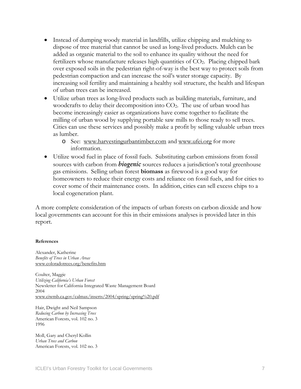- Instead of dumping woody material in landfills, utilize chipping and mulching to dispose of tree material that cannot be used as long-lived products. Mulch can be added as organic material to the soil to enhance its quality without the need for fertilizers whose manufacture releases high quantities of  $CO<sub>2</sub>$ . Placing chipped bark over exposed soils in the pedestrian right-of-way is the best way to protect soils from pedestrian compaction and can increase the soil's water storage capacity. By increasing soil fertility and maintaining a healthy soil structure, the health and lifespan of urban trees can be increased.
- Utilize urban trees as long-lived products such as building materials, furniture, and woodcrafts to delay their decomposition into CO<sub>2</sub>. The use of urban wood has become increasingly easier as organizations have come together to facilitate the milling of urban wood by supplying portable saw mills to those ready to sell trees. Cities can use these services and possibly make a profit by selling valuable urban trees as lumber.
	- o See: [www.harvestingurbantimber.com](http://www.harvestingurbantimber.com/) and [www.ufei.org](http://www.ufei.org/) for more information.
- Utilize wood fuel in place of fossil fuels. Substituting carbon emissions from fossil sources with carbon from *biogenic* sources reduces a jurisdiction's total greenhouse gas emissions. Selling urban forest **biomass** as firewood is a good way for homeowners to reduce their energy costs and reliance on fossil fuels, and for cities to cover some of their maintenance costs. In addition, cities can sell excess chips to a local cogeneration plant.

A more complete consideration of the impacts of urban forests on carbon dioxide and how local governments can account for this in their emissions analyses is provided later in this report.

#### **References**

Alexander, Katherine *Benefits of Trees in Urban Areas*  [www.coloradotrees.org/benefits.htm](http://www.coloradotrees.org/benefits.htm)

Coulter, Maggie *Utilizing California's Urban Forest*  Newsletter for California Integrated Waste Management Board 2004 [www.ciwmb.ca.gov/calmax/inserts/2004/spring/spring%20.pdf](http://www.ciwmb.ca.gov/calmax/inserts/2004/spring/spring .pdf) 

Hair, Dwight and Neil Sampson *Reducing Carbon by Increasing Trees*  American Forests, vol. 102 no. 3 1996

Moll, Gary and Cheryl Kollin *Urban Trees and Carbon*  American Forests, vol. 102 no. 3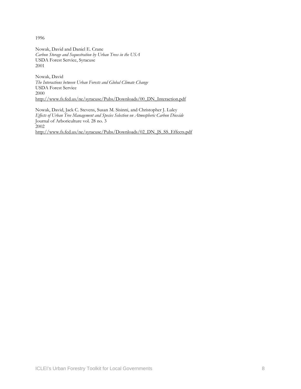1996

Nowak, David and Daniel E. Crane *Carbon Storage and Sequestration by Urban Trees in the USA*  USDA Forest Service, Syracuse 2001

Nowak, David *The Interactions between Urban Forests and Global Climate Change* USDA Forest Service 2000 [http://www.fs.fed.us/ne/syracuse/Pubs/Downloads/00\\_DN\\_Interaction.pdf](http://www.fs.fed.us/ne/syracuse/Pubs/Downloads/00_DN_Interaction.pdf)

Nowak, David, Jack C. Stevens, Susan M. Sisinni, and Christopher J. Luley *Effects of Urban Tree Management and Species Selection on Atmospheric Carbon Dioxide*  Journal of Arboriculture vol. 28 no. 3  $2002$ http://www.fs.fed.us/ne/syracuse/Pubs/Downloads/02\_DN\_JS\_SS\_Effects.pdf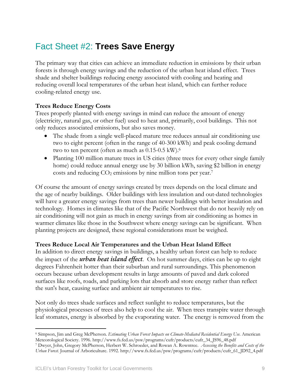## <span id="page-8-0"></span>Fact Sheet #2: **Trees Save Energy**

The primary way that cities can achieve an immediate reduction in emissions by their urban forests is through energy savings and the reduction of the urban heat island effect. Trees shade and shelter buildings reducing energy associated with cooling and heating and reducing overall local temperatures of the urban heat island, which can further reduce cooling-related energy use.

## **Trees Reduce Energy Costs**

Trees properly planted with energy savings in mind can reduce the amount of energy (electricity, natural gas, or other fuel) used to heat and, primarily, cool buildings. This not only reduces associated emissions, but also saves money.

- The shade from a single well-placed mature tree reduces annual air conditioning use two to eight percent (often in the range of 40-300 kWh) and peak cooling demand two to ten percent (often as much as 0.15-0.5 kW).[6](#page-8-1)
- Planting 100 million mature trees in US cities (three trees for every other single family home) could reduce annual energy use by 30 billion kWh, saving \$2 billion in energy costs and reducing  $CO<sub>2</sub>$  emissions by nine million tons per year.<sup>[7](#page-8-2)</sup>

Of course the amount of energy savings created by trees depends on the local climate and the age of nearby buildings. Older buildings with less insulation and out-dated technologies will have a greater energy savings from trees than newer buildings with better insulation and technology. Homes in climates like that of the Pacific Northwest that do not heavily rely on air conditioning will not gain as much in energy savings from air conditioning as homes in warmer climates like those in the Southwest where energy savings can be significant. When planting projects are designed, these regional considerations must be weighed.

## **Trees Reduce Local Air Temperatures and the Urban Heat Island Effect**

In addition to direct energy savings in buildings, a healthy urban forest can help to reduce the impact of the *urban heat island effect*. On hot summer days, cities can be up to eight degrees Fahrenheit hotter than their suburban and rural surroundings. This phenomenon occurs because urban development results in large amounts of paved and dark colored surfaces like roofs, roads, and parking lots that absorb and store energy rather than reflect the sun's heat, causing surface and ambient air temperatures to rise.

Not only do trees shade surfaces and reflect sunlight to reduce temperatures, but the physiological processes of trees also help to cool the air. When trees transpire water through leaf stomates, energy is absorbed by the evaporating water. The energy is removed from the

<span id="page-8-1"></span> $\overline{a}$ 6 Simpson, Jim and Greg McPherson. *Estimating Urban Forest Impacts on Climate-Mediated Residential Energy Use.* American Meteorological Society. 1996. http://www.fs.fed.us/psw/programs/cufr/products/cufr\_34\_JS96\_48.pdf<br>7 Dwyer, John, Gregory McPherson, Herbert W. Schroeder, and Rowan A. Rowntree. Assessing the Benefits and Costs of the

<span id="page-8-2"></span>*Urban Forest.* Journal of Arboriculture. 1992. http://www.fs.fed.us/psw/programs/cufr/products/cufr\_61\_JD92\_4.pdf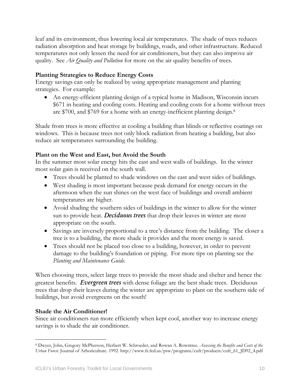leaf and its environment, thus lowering local air temperatures. The shade of trees reduces radiation absorption and heat storage by buildings, roads, and other infrastructure. Reduced temperatures not only lessen the need for air conditioners, but they can also improve air quality. See *Air Quality and Pollution* for more on the air quality benefits of trees.

## **Planting Strategies to Reduce Energy Costs**

Energy savings can only be realized by using appropriate management and planting strategies. For example:

• An energy-efficient planting design of a typical home in Madison, Wisconsin incurs \$671 in heating and cooling costs. Heating and cooling costs for a home without trees are \$700, and \$769 for a home with an energy-inefficient planting design. [8](#page-9-0) 

Shade from trees is more effective at cooling a building than blinds or reflective coatings on windows. This is because trees not only block radiation from heating a building, but also reduce air temperatures surrounding the building.

## **Plant on the West and East, but Avoid the South**

In the summer most solar energy hits the east and west walls of buildings. In the winter most solar gain is received on the south wall.

- Trees should be planted to shade windows on the east and west sides of buildings.
- West shading is most important because peak demand for energy occurs in the afternoon when the sun shines on the west face of buildings and overall ambient temperatures are higher.
- Avoid shading the southern sides of buildings in the winter to allow for the winter sun to provide heat. *Deciduous trees* that drop their leaves in winter are most appropriate on the south.
- Savings are inversely proportional to a tree's distance from the building. The closer a tree is to a building, the more shade it provides and the more energy is saved.
- Trees should not be placed too close to a building, however, in order to prevent damage to the building's foundation or piping. For more tips on planting see the *Planting and Maintenance Guide*.

When choosing trees, select large trees to provide the most shade and shelter and hence the greatest benefits. *Evergreen trees* with dense foliage are the best shade trees. Deciduous trees that drop their leaves during the winter are appropriate to plant on the southern side of buildings, but avoid evergreens on the south!

## **Shade the Air Conditioner!**

Since air conditioners run more efficiently when kept cool, another way to increase energy savings is to shade the air conditioner.

<span id="page-9-0"></span> $\overline{a}$ 8 Dwyer, John, Gregory McPherson, Herbert W. Schroeder, and Rowan A. Rowntree. *Assessing the Benefits and Costs of the Urban Forest.* Journal of Arboriculture. 1992. http://www.fs.fed.us/psw/programs/cufr/products/cufr\_61\_JD92\_4.pdf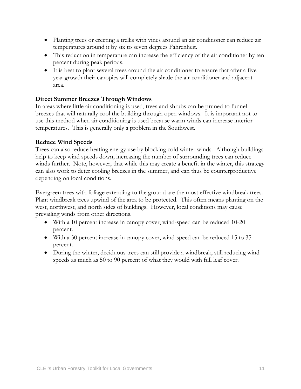- Planting trees or erecting a trellis with vines around an air conditioner can reduce air temperatures around it by six to seven degrees Fahrenheit.
- This reduction in temperature can increase the efficiency of the air conditioner by ten percent during peak periods.
- It is best to plant several trees around the air conditioner to ensure that after a five year growth their canopies will completely shade the air conditioner and adjacent area.

## **Direct Summer Breezes Through Windows**

In areas where little air conditioning is used, trees and shrubs can be pruned to funnel breezes that will naturally cool the building through open windows. It is important not to use this method when air conditioning is used because warm winds can increase interior temperatures. This is generally only a problem in the Southwest.

## **Reduce Wind Speeds**

Trees can also reduce heating energy use by blocking cold winter winds. Although buildings help to keep wind speeds down, increasing the number of surrounding trees can reduce winds further. Note, however, that while this may create a benefit in the winter, this strategy can also work to deter cooling breezes in the summer, and can thus be counterproductive depending on local conditions.

Evergreen trees with foliage extending to the ground are the most effective windbreak trees. Plant windbreak trees upwind of the area to be protected. This often means planting on the west, northwest, and north sides of buildings. However, local conditions may cause prevailing winds from other directions.

- With a 10 percent increase in canopy cover, wind-speed can be reduced 10-20 percent.
- With a 30 percent increase in canopy cover, wind-speed can be reduced 15 to 35 percent.
- During the winter, deciduous trees can still provide a windbreak, still reducing windspeeds as much as 50 to 90 percent of what they would with full leaf cover.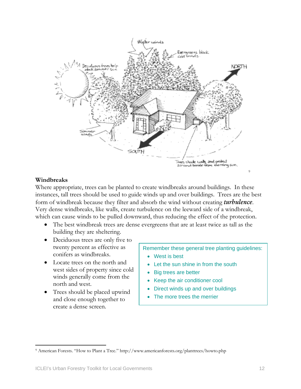

### **Windbreaks**

 $\overline{a}$ 

Where appropriate, trees can be planted to create windbreaks around buildings. In these instances, tall trees should be used to guide winds up and over buildings. Trees are the best form of windbreak because they filter and absorb the wind without creating *turbulence*. Very dense windbreaks, like walls, create turbulence on the leeward side of a windbreak, which can cause winds to be pulled downward, thus reducing the effect of the protection.

- The best windbreak trees are dense evergreens that are at least twice as tall as the building they are sheltering.
- Deciduous trees are only five to twenty percent as effective as conifers as windbreaks.
- Locate trees on the north and west sides of property since cold winds generally come from the north and west.
- Trees should be placed upwind and close enough together to create a dense screen.

Remember these general tree planting guidelines:

- West is best
- Let the sun shine in from the south
- **Big trees are better**
- Keep the air conditioner cool
- Direct winds up and over buildings
- The more trees the merrier

<sup>9</sup> American Forests. "How to Plant a Tree." http://www.americanforests.org/planttrees/howto.php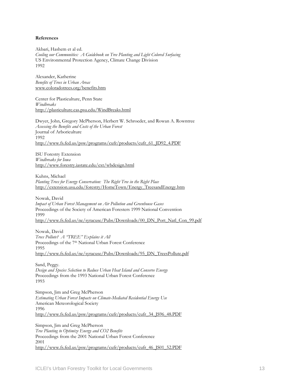#### **References**

Akbari, Hashem et al ed. *Cooling our Communities: A Guidebook on Tree Planting and Light Colored Surfacing* US Environmental Protection Agency, Climate Change Division 1992

Alexander, Katherine *Benefits of Trees in Urban Areas*  [www.coloradotrees.org/benefits.htm](http://www.coloradotrees.org/benefits.htm)

Center for Plasticulture, Penn State *Windbreaks* <http://plasticulture.cas.psu.edu/WindBreaks.html>

Dwyer, John, Gregory McPherson, Herbert W. Schroeder, and Rowan A. Rowntree *Assessing the Benefits and Costs of the Urban Forest* Journal of Arboriculture 1992 [http://www.fs.fed.us/psw/programs/cufr/products/cufr\\_61\\_JD92\\_4.PDF](http://www.fs.fed.us/psw/programs/cufr/products/cufr_61_JD92_4.PDF)

ISU Forestry Extension *Windbreaks for Iowa*  <http://www.forestry.iastate.edu/ext/wbdesign.html>

Kuhns, Michael *Planting Trees for Energy Conservation: The Right Tree in the Right Place*  [http://extension.usu.edu/forestry/HomeTown/Energy\\_TreesandEnergy.htm](http://extension.usu.edu/forestry/HomeTown/Energy_TreesandEnergy.htm)

Nowak, David *Impact of Urban Forest Management on Air Pollution and Greenhouse Gases*  Proceedings of the Society of American Foresters 1999 National Convention 1999 [http://www.fs.fed.us/ne/syracuse/Pubs/Downloads/00\\_DN\\_Port\\_Natl\\_Con\\_99.pdf](http://www.fs.fed.us/ne/syracuse/Pubs/Downloads/00_DN_Port_Natl_Con_99.pdf)

Nowak, David *Trees Pollute? A "TREE" Explains it All*  Proceedings of the 7th National Urban Forest Conference 1995 [http://www.fs.fed.us/ne/syracuse/Pubs/Downloads/95\\_DN\\_TreesPollute.pdf](http://www.fs.fed.us/ne/syracuse/Pubs/Downloads/95_DN_TreesPollute.pdf)

Sand, Peggy. *Design and Species Selection to Reduce Urban Heat Island and Conserve Energy* Proceedings from the 1993 National Urban Forest Conference 1993

Simpson, Jim and Greg McPherson *Estimating Urban Forest Impacts on Climate-Mediated Residential Energy Use*  American Meteorological Society 1996 [http://www.fs.fed.us/psw/programs/cufr/products/cufr\\_34\\_JS96\\_48.PDF](http://www.fs.fed.us/psw/programs/cufr/products/cufr_34_JS96_48.PDF)

Simpson, Jim and Greg McPherson *Tree Planting to Optimize Energy and CO2 Benefits* Proceedings from the 2001 National Urban Forest Conference 2001 [http://www.fs.fed.us/psw/programs/cufr/products/cufr\\_46\\_JS01\\_52.PDF](http://www.fs.fed.us/psw/programs/cufr/products/cufr_46_JS01_52.PDF)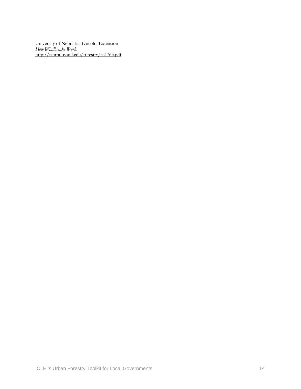University of Nebraska, Lincoln, Extension *How Windbreaks Work*  <http://ianrpubs.unl.edu/forestry/ec1763.pdf>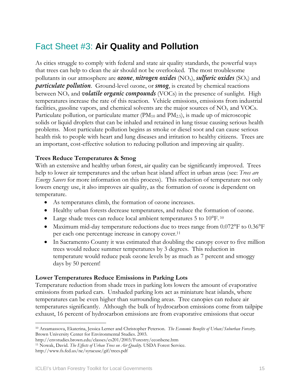## <span id="page-14-0"></span>Fact Sheet #3: **Air Quality and Pollution**

As cities struggle to comply with federal and state air quality standards, the powerful ways that trees can help to clean the air should not be overlooked. The most troublesome pollutants in our atmosphere are *ozone*, *nitrogen oxides* (NOx), *sulfuric oxides* (SOx) and *particulate pollution*. Ground-level ozone, or *smog*, is created by chemical reactions between NOx and *volatile organic compounds* (VOCs) in the presence of sunlight. High temperatures increase the rate of this reaction. Vehicle emissions, emissions from industrial facilities, gasoline vapors, and chemical solvents are the major sources of  $NO<sub>x</sub>$  and VOCs. Particulate pollution, or particulate matter  $(PM_{10}$  and  $PM_{2.5})$ , is made up of microscopic solids or liquid droplets that can be inhaled and retained in lung tissue causing serious health problems. Most particulate pollution begins as smoke or diesel soot and can cause serious health risk to people with heart and lung diseases and irritation to healthy citizens. Trees are an important, cost-effective solution to reducing pollution and improving air quality.

### **Trees Reduce Temperatures & Smog**

With an extensive and healthy urban forest, air quality can be significantly improved. Trees help to lower air temperatures and the urban heat island affect in urban areas (see: *Trees are Energy Savers* for more information on this process). This reduction of temperature not only lowers energy use, it also improves air quality, as the formation of ozone is dependent on temperature.

- As temperatures climb, the formation of ozone increases.
- Healthy urban forests decrease temperatures, and reduce the formation of ozone.
- Large shade trees can reduce local ambient temperatures 5 to [10](#page-14-1)°F.<sup>10</sup>
- Maximum mid-day temperature reductions due to trees range from 0.072°F to 0.36°F per each one percentage increase in canopy cover[.11](#page-14-2)
- In Sacramento County it was estimated that doubling the canopy cover to five million trees would reduce summer temperatures by 3 degrees. This reduction in temperature would reduce peak ozone levels by as much as 7 percent and smoggy days by 50 percent!

### **Lower Temperatures Reduce Emissions in Parking Lots**

Temperature reduction from shade trees in parking lots lowers the amount of evaporative emissions from parked cars. Unshaded parking lots act as miniature heat islands, where temperatures can be even higher than surrounding areas. Tree canopies can reduce air temperatures significantly. Although the bulk of hydrocarbon emissions come from tailpipe exhaust, 16 percent of hydrocarbon emissions are from evaporative emissions that occur

 $\overline{a}$ 

<span id="page-14-1"></span><sup>10</sup> Arzamassova, Ekaterina, Jessica Lerner and Christopher Peterson. *The Economic Benefits of Urban/Suburban Forestry.*  Brown University Center for Environmental Studies. 2003.

<span id="page-14-2"></span><sup>&</sup>lt;sup>11</sup> Nowak, David. The Effects of Urban Trees on Air Quality. USDA Forest Service.

http://www.fs.fed.us/ne/syracuse/gif/trees.pdf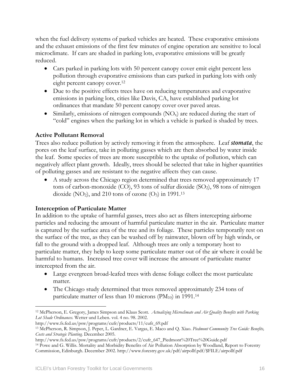when the fuel delivery systems of parked vehicles are heated. These evaporative emissions and the exhaust emissions of the first few minutes of engine operation are sensitive to local microclimate. If cars are shaded in parking lots, evaporative emissions will be greatly reduced.

- Cars parked in parking lots with 50 percent canopy cover emit eight percent less pollution through evaporative emissions than cars parked in parking lots with only eight percent canopy cover.<sup>[12](#page-15-0)</sup>
- Due to the positive effects trees have on reducing temperatures and evaporative emissions in parking lots, cities like Davis, CA, have established parking lot ordinances that mandate 50 percent canopy cover over paved areas.
- Similarly, emissions of nitrogen compounds  $(NO<sub>x</sub>)$  are reduced during the start of "cold" engines when the parking lot in which a vehicle is parked is shaded by trees.

## **Active Pollutant Removal**

Trees also reduce pollution by actively removing it from the atmosphere. Leaf *stomata*, the pores on the leaf surface, take in polluting gasses which are then absorbed by water inside the leaf. Some species of trees are more susceptible to the uptake of pollution, which can negatively affect plant growth. Ideally, trees should be selected that take in higher quantities of polluting gasses and are resistant to the negative affects they can cause.

• A study across the Chicago region determined that trees removed approximately 17 tons of carbon-monoxide  $(CO)$ , 93 tons of sulfur dioxide  $(SO<sub>2</sub>)$ , 98 tons of nitrogen dioxide (NO<sub>2</sub>), and 210 tons of ozone (O<sub>3</sub>) in 1991.<sup>[13](#page-15-1)</sup>

## **Interception of Particulate Matter**

In addition to the uptake of harmful gasses, trees also act as filters intercepting airborne particles and reducing the amount of harmful particulate matter in the air. Particulate matter is captured by the surface area of the tree and its foliage. These particles temporarily rest on the surface of the tree, as they can be washed off by rainwater, blown off by high winds, or fall to the ground with a dropped leaf. Although trees are only a temporary host to particulate matter, they help to keep some particulate matter out of the air where it could be harmful to humans. Increased tree cover will increase the amount of particulate matter intercepted from the air.

- Large evergreen broad-leafed trees with dense foliage collect the most particulate matter.
- The Chicago study determined that trees removed approximately 234 tons of particulate matter of less than 10 microns ( $PM_{10}$ ) in 1991.<sup>[14](#page-15-2)</sup>

<span id="page-15-0"></span> $\overline{a}$ 12 McPherson, E. Gregory, James Simpson and Klaus Scott. *Actualizing Microclimate and Air Quality Benefits with Parking Lot Shade Ordinances.* Wetter und Leben. vol. 4 no. 98. 2002.

<span id="page-15-1"></span>http://www.fs.fed.us/psw/programs/cufr/products/11/cufr\_69.pdf 13 McPherson, R. Simpson, J. Peper, L. Gardner, E. Vargas, E. Maco and Q. Xiao. *Piedmont Community Tree Guide: Benefits, Costs and Strategic Planting.* December 2005.

<span id="page-15-2"></span>http://www.fs.fed.us/psw/programs/cufr/products/2/cufr\_647\_Piedmont%20Tree%20Guide.pdf 14 Powe and G. Willis. Mortality and Morbidity Benefits of Air Pollution Absorption by Woodland, Report to Forestry Commission, Edinburgh. December 2002. http://www.forestry.gov.uk/pdf/airpollf.pdf/\$FILE/airpollf.pdf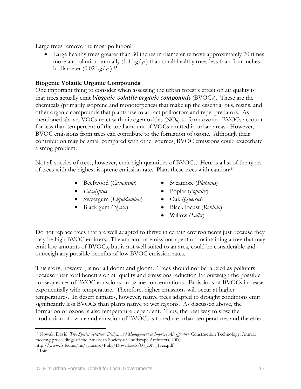Large trees remove the most pollution!

• Large healthy trees greater than 30 inches in diameter remove approximately 70 times more air pollution annually  $(1.4 \text{ kg/yr})$  than small healthy trees less than four inches in diameter  $(0.02 \text{ kg/yr})$ .<sup>[15](#page-16-0)</sup>

## **Biogenic Volatile Organic Compounds**

One important thing to consider when assessing the urban forest's effect on air quality is that trees actually emit *biogenic volatile organic compounds* (BVOCs). These are the chemicals (primarily isoprene and monoterpenes) that make up the essential oils, resins, and other organic compounds that plants use to attract pollinators and repel predators. As mentioned above, VOCs react with nitrogen oxides  $(NO<sub>x</sub>)$  to form ozone. BVOCs account for less than ten percent of the total amount of VOCs emitted in urban areas. However, BVOC emissions from trees can contribute to the formation of ozone. Although their contribution may be small compared with other sources, BVOC emissions could exacerbate a smog problem.

Not all species of trees, however, emit high quantities of BVOCs. Here is a list of the types of trees with the highest isoprene emission rate. Plant these trees with caution:[16](#page-16-1) 

- Beefwood (*Casuarina*)
- *Eucalyptus*
- Sweetgum (*Liquidambar*)
- Black gum (*Nyssa*)
- Sycamore (*Platanus*)
- Poplar (*Populus*)
- Oak (*Quercus*)
- Black locust (*Robinia*)
- Willow (*Salix*)

Do not replace trees that are well adapted to thrive in certain environments just because they may be high BVOC emitters. The amount of emissions spent on maintaining a tree that may emit low amounts of BVOCs, but is not well suited to an area, could be considerable and outweigh any possible benefits of low BVOC emission rates.

This story, however, is not all doom and gloom. Trees should not be labeled as polluters because their total benefits on air quality and emissions reduction far outweigh the possible consequences of BVOC emissions on ozone concentrations. Emissions of BVOCs increase exponentially with temperature. Therefore, higher emissions will occur at higher temperatures. In desert climates, however, native trees adapted to drought conditions emit significantly less BVOCs than plants native to wet regions. As discussed above, the formation of ozone is also temperature dependent. Thus, the best way to slow the production of ozone and emission of BVOCs is to reduce urban temperatures and the effect

<span id="page-16-0"></span> $\overline{a}$ 15 Nowak, David. *Tree Species Selection, Design, and Management to Improve Air Quality.* Construction Technology: Annual meeting proceedings of the American Society of Landscape Architects, 2000. http://www.fs.fed.us/ne/syracuse/Pubs/Downloads/00\_DN\_Tree.pdf 16 Ibid

<span id="page-16-1"></span>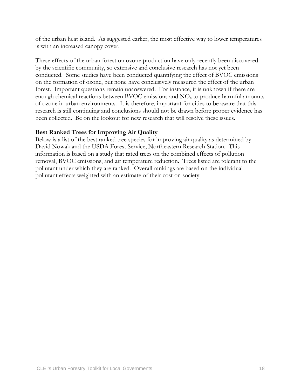of the urban heat island. As suggested earlier, the most effective way to lower temperatures is with an increased canopy cover.

These effects of the urban forest on ozone production have only recently been discovered by the scientific community, so extensive and conclusive research has not yet been conducted. Some studies have been conducted quantifying the effect of BVOC emissions on the formation of ozone, but none have conclusively measured the effect of the urban forest. Important questions remain unanswered. For instance, it is unknown if there are enough chemical reactions between BVOC emissions and  $NO<sub>x</sub>$  to produce harmful amounts of ozone in urban environments. It is therefore, important for cities to be aware that this research is still continuing and conclusions should not be drawn before proper evidence has been collected. Be on the lookout for new research that will resolve these issues.

## **Best Ranked Trees for Improving Air Quality**

Below is a list of the best ranked tree species for improving air quality as determined by David Nowak and the USDA Forest Service, Northeastern Research Station. This information is based on a study that rated trees on the combined effects of pollution removal, BVOC emissions, and air temperature reduction. Trees listed are tolerant to the pollutant under which they are ranked. Overall rankings are based on the individual pollutant effects weighted with an estimate of their cost on society.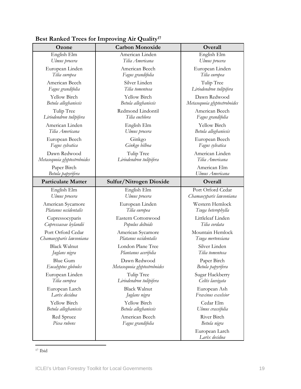| Ozone                            | <b>Carbon Monoxide</b>       | Overall                         |
|----------------------------------|------------------------------|---------------------------------|
| English Elm                      | American Linden              | English Elm                     |
| Ulmus procera                    | Tilia Americana              | Ulmus procera                   |
| European Linden                  | American Beech               | European Linden                 |
| Tilia europea                    | Fagus grandifolia            | Tilia europea                   |
| American Beech                   | Silver Linden                | Tulip Tree                      |
| Fagus grandifolia                | Tilia tomentosa              | Liriodendron tulipifera         |
| Yellow Birch                     | Yellow Birch                 | Dawn Redwood                    |
| Betula alleghaniesis             | Betula alleghaniesis         | Metasequoia glyptostroboides    |
| Tulip Tree                       | Redmond Lindontil            | American Beech                  |
| Liriodendron tulipifera          | Tilia euchlora               | Fagus grandifolia               |
| American Linden                  | English Elm                  | Yellow Birch                    |
| Tilia Americana                  | Ulmus procera                | Betula alleghaniesis            |
| European Beech                   | Ginkgo                       | European Beech                  |
| Fagus sylvatica                  | Ginkgo bilboa                | Fagus sylvatica                 |
| Dawn Redwood                     | Tulip Tree                   | American Linden                 |
| Metasequoia glyptostroboides     | Liriodendron tulipifera      | Tilia Americana                 |
| Paper Birch<br>Betula papyrifera |                              | American Elm<br>Ulmus Americana |
| <b>Particulate Matter</b>        | Sulfur/Nitrogen Dioxide      | Overall                         |
| English Elm                      | English Elm                  | Port Orford Cedar               |
| Ulmus procera                    | Ulmus procera                | Chamaecyparis lawsoniana        |
| American Sycamore                | European Linden              | Western Hemlock                 |
| Platanus occidentalis            | Tilia europea                | Tsuga heterophylla              |
| Cupressocyparis                  | Eastern Cottonwood           | Littleleaf Linden               |
| Cupressaceae leylandii           | Populus deltoids             | Tilia cordata                   |
| Port Orford Cedar                | American Sycamore            | Mountain Hemlock                |
| Chamaecyparis lawsoniana         | Platanus occidentalis        | Tsuga mertensiana               |
| <b>Black Walnut</b>              | London Plane Tree            | Silver Linden                   |
| Juglans nigra                    | Plantanus acerifolia         | Tilia tomentosa                 |
| Blue Gum                         | Dawn Redwood                 | Paper Birch                     |
| Eucalyptus globules              | Metasequoia glyptostroboides | Betula papyrifera               |
| European Linden                  | Tulip Tree                   | Sugar Hackberry                 |
| Tilia europea                    | Liriodendron tulipifera      | Celtis laevigata                |
| European Larch                   | <b>Black Walnut</b>          | European Ash                    |
| Larix decidua                    | Juglans nigra                | Fraxinus excelsior              |
| Yellow Birch                     | Yellow Birch                 | Cedar Elm                       |
| Betula alleghaniesis             | Betula alleghaniesis         | Ulmus crassifolia               |
| Red Spruce                       | American Beech               | River Birch                     |
| Picea rubens                     | Fagus grandifolia            | Betula nigra                    |
|                                  |                              | European Larch<br>Larix decidua |

## **Best Ranked Trees for Improving Air Quality[17](#page-18-0)**

<span id="page-18-0"></span> $\overline{a}$ 17 Ibid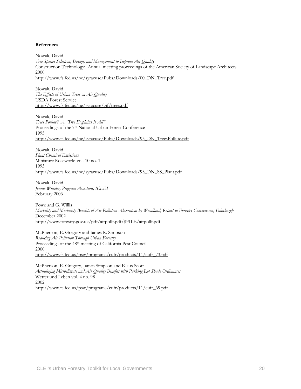#### **References**

Nowak, David *Tree Species Selection, Design, and Management to Improve Air Quality*  Construction Technology: Annual meeting proceedings of the American Society of Landscape Architects 2000 [http://www.fs.fed.us/ne/syracuse/Pubs/Downloads/00\\_DN\\_Tree.pdf](http://www.fs.fed.us/ne/syracuse/Pubs/Downloads/00_DN_Tree.pdf)

Nowak, David *The Effects of Urban Trees on Air Quality*  USDA Forest Service <http://www.fs.fed.us/ne/syracuse/gif/trees.pdf>

Nowak, David *Trees Pollute? A "Tree Explains It All"* Proceedings of the 7<sup>th</sup> National Urban Forest Conference 1995 [http://www.fs.fed.us/ne/syracuse/Pubs/Downloads/95\\_DN\\_TreesPollute.pdf](http://www.fs.fed.us/ne/syracuse/Pubs/Downloads/95_DN_TreesPollute.pdf)

Nowak, David *Plant Chemical Emissions*  Miniature Roseworld vol. 10 no. 1 1993 [http://www.fs.fed.us/ne/syracuse/Pubs/Downloads/93\\_DN\\_SS\\_Plant.pdf](http://www.fs.fed.us/ne/syracuse/Pubs/Downloads/93_DN_SS_Plant.pdf)

Nowak, David *Jennie Wheeler, Program Assistant, ICLEI*  February 2006

Powe and G. Willis *Mortality and Morbidity Benefits of Air Pollution Absorption by Woodland, Report to Forestry Commission, Edinburgh* December 2002 http://www.forestry.gov.uk/pdf/airpollf.pdf/\$FILE/airpollf.pdf

McPherson, E. Gregory and James R. Simpson *Reducing Air Pollution Through Urban Forestry*  Proceedings of the 48th meeting of California Pest Council 2000 [http://www.fs.fed.us/psw/programs/cufr/products/11/cufr\\_73.pdf](http://www.fs.fed.us/psw/programs/cufr/products/11/cufr_73.pdf)

McPherson, E. Gregory, James Simpson and Klaus Scott *Actualizing Microclimate and Air Quality Benefits with Parking Lot Shade Ordinances*  Wetter und Leben vol. 4 no. 98 2002 [http://www.fs.fed.us/psw/programs/cufr/products/11/cufr\\_69.pdf](http://www.fs.fed.us/psw/programs/cufr/products/11/cufr_69.pdf)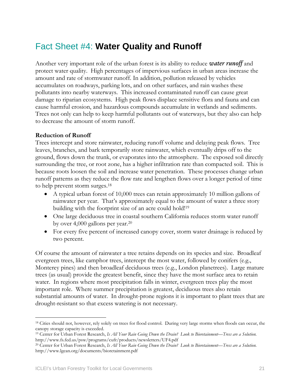## <span id="page-20-0"></span>Fact Sheet #4: **Water Quality and Runoff**

Another very important role of the urban forest is its ability to reduce *water runoff* and protect water quality. High percentages of impervious surfaces in urban areas increase the amount and rate of stormwater runoff. In addition, pollution released by vehicles accumulates on roadways, parking lots, and on other surfaces, and rain washes these pollutants into nearby waterways. This increased contaminated runoff can cause great damage to riparian ecosystems. High peak flows displace sensitive flora and fauna and can cause harmful erosion, and hazardous compounds accumulate in wetlands and sediments. Trees not only can help to keep harmful pollutants out of waterways, but they also can help to decrease the amount of storm runoff.

### **Reduction of Runoff**

Trees intercept and store rainwater, reducing runoff volume and delaying peak flows. Tree leaves, branches, and bark temporarily store rainwater, which eventually drips off to the ground, flows down the trunk, or evaporates into the atmosphere. The exposed soil directly surrounding the tree, or root zone, has a higher infiltration rate than compacted soil. This is because roots loosen the soil and increase water penetration. These processes change urban runoff patterns as they reduce the flow rate and lengthen flows over a longer period of time to help prevent storm surges[.18](#page-20-1) 

- A typical urban forest of 10,000 trees can retain approximately 10 million gallons of rainwater per year. That's approximately equal to the amount of water a three story building with the footprint size of an acre could hold[!19](#page-20-2)
- One large deciduous tree in coastal southern California reduces storm water runoff by over 4,000 gallons per year.[20](#page-20-3)
- For every five percent of increased canopy cover, storm water drainage is reduced by two percent.

Of course the amount of rainwater a tree retains depends on its species and size. Broadleaf evergreen trees, like camphor trees, intercept the most water, followed by conifers (e.g., Monterey pines) and then broadleaf deciduous trees (e.g., London planetrees). Large mature trees (as usual) provide the greatest benefit, since they have the most surface area to retain water. In regions where most precipitation falls in winter, evergreen trees play the most important role. Where summer precipitation is greatest, deciduous trees also retain substantial amounts of water. In drought-prone regions it is important to plant trees that are drought-resistant so that excess watering is not necessary.

<span id="page-20-1"></span> $\overline{a}$ <sup>18</sup> Cities should not, however, rely solely on trees for flood control. During very large storms when floods can occur, the canopy storage capacity is exceeded.<br><sup>19</sup> Center for Urban Forest Research, *Is All Your Rain Going Down the Drain? Look to Bioretainment—Tress are a Solution*.

<span id="page-20-2"></span>http://www.fs.fed.us/psw/programs/cufr/products/newsletters/UF4.pdf 20 Center for Urban Forest Research, *Is All Your Rain Going Down the Drain? Look to Bioretainment—Tress are a Solution.* 

<span id="page-20-3"></span>http://www.lgean.org/documents/bioretainment.pdf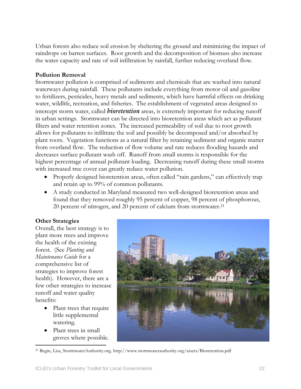Urban forests also reduce soil erosion by sheltering the ground and minimizing the impact of raindrops on barren surfaces. Root growth and the decomposition of biomass also increase the water capacity and rate of soil infiltration by rainfall, further reducing overland flow.

## **Pollution Removal**

Stormwater pollution is comprised of sediments and chemicals that are washed into natural waterways during rainfall. These pollutants include everything from motor oil and gasoline to fertilizers, pesticides, heavy metals and sediments, which have harmful effects on drinking water, wildlife, recreation, and fisheries. The establishment of vegetated areas designed to intercept storm water, called *bioretention* areas, is extremely important for reducing runoff in urban settings. Stormwater can be directed into bioretention areas which act as pollutant filters and water retention zones. The increased permeability of soil due to root growth allows for pollutants to infiltrate the soil and possibly be decomposed and/or absorbed by plant roots. Vegetation functions as a natural filter by retaining sediment and organic matter from overland flow. The reduction of flow volume and rate reduces flooding hazards and decreases surface pollutant wash off. Runoff from small storms is responsible for the highest percentage of annual pollutant loading. Decreasing runoff during these small storms with increased tree cover can greatly reduce water pollution.

- Properly designed bioretention areas, often called "rain gardens," can effectively trap and retain up to 99% of common pollutants.
- A study conducted in Maryland measured two well-designed bioretention areas and found that they removed roughly 95 percent of copper, 98 percent of phosphorous, 20 percent of nitrogen, and 20 percent of calcium from stormwater.<sup>[21](#page-21-0)</sup>

### **Other Strategies**

Overall, the best strategy is to plant more trees and improve the health of the existing forest. (See *Planting and Maintenance Guide* for a comprehensive list of strategies to improve forest health). However, there are a few other strategies to increase runoff and water quality benefits:

- Plant trees that require little supplemental watering.
- Plant trees in small groves where possible.

<span id="page-21-0"></span> $\overline{a}$ 



<sup>21</sup> Begin, Lisa, StormwaterAuthority.org. http://www.stormwaterauthority.org/assets/Bioretention.pdf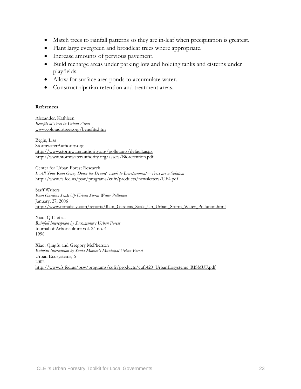- Match trees to rainfall patterns so they are in-leaf when precipitation is greatest.
- Plant large evergreen and broadleaf trees where appropriate.
- Increase amounts of pervious pavement.
- Build recharge areas under parking lots and holding tanks and cisterns under playfields.
- Allow for surface area ponds to accumulate water.
- Construct riparian retention and treatment areas.

#### **References**

Alexander, Kathleen *Benefits of Trees in Urban Areas*  [www.coloradotrees.org/benefits.htm](http://www.coloradotrees.org/benefits.htm)

Begin, Lisa StormwaterAuthority.org <http://www.stormwaterauthority.org/pollutants/default.aspx> <http://www.stormwaterauthority.org/assets/Bioretention.pdf>

Center for Urban Forest Research *Is All Your Rain Going Down the Drain? Look to Bioretainment—Tress are a Solution*  <http://www.fs.fed.us/psw/programs/cufr/products/newsletters/UF4.pdf>

Staff Writers *Rain Gardens Soak Up Urban Storm Water Pollution*  January, 27, 2006 [http://www.terradaily.com/reports/Rain\\_Gardens\\_Soak\\_Up\\_Urban\\_Storm\\_Water\\_Pollution.html](http://www.terradaily.com/reports/Rain_Gardens_Soak_Up_Urban_Storm_Water_Pollution.html)

Xiao, Q.F. et al. *Rainfall Interception by Sacramento's Urban Forest*  Journal of Arboriculture vol. 24 no. 4 1998

Xiao, Qingfu and Gregory McPherson *Rainfall Interception by Santa Monica's Municipal Urban Forest*  Urban Ecosystems, 6 2002 [http://www.fs.fed.us/psw/programs/cufr/products/cufr420\\_UrbanEosystems\\_RISMUF.pdf](http://www.fs.fed.us/psw/programs/cufr/products/cufr420_UrbanEosystems_RISMUF.pdf)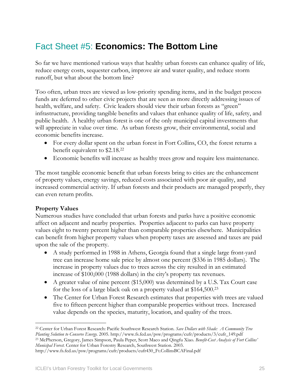## <span id="page-24-0"></span>Fact Sheet #5: **Economics: The Bottom Line**

So far we have mentioned various ways that healthy urban forests can enhance quality of life, reduce energy costs, sequester carbon, improve air and water quality, and reduce storm runoff, but what about the bottom line?

Too often, urban trees are viewed as low-priority spending items, and in the budget process funds are deferred to other civic projects that are seen as more directly addressing issues of health, welfare, and safety. Civic leaders should view their urban forests as "green" infrastructure, providing tangible benefits and values that enhance quality of life, safety, and public health. A healthy urban forest is one of the only municipal capital investments that will appreciate in value over time. As urban forests grow, their environmental, social and economic benefits increase.

- For every dollar spent on the urban forest in Fort Collins, CO, the forest returns a benefit equivalent to \$2.18.[22](#page-24-1)
- Economic benefits will increase as healthy trees grow and require less maintenance.

The most tangible economic benefit that urban forests bring to cities are the enhancement of property values, energy savings, reduced costs associated with poor air quality, and increased commercial activity. If urban forests and their products are managed properly, they can even return profits.

## **Property Values**

Numerous studies have concluded that urban forests and parks have a positive economic affect on adjacent and nearby properties. Properties adjacent to parks can have property values eight to twenty percent higher than comparable properties elsewhere. Municipalities can benefit from higher property values when property taxes are assessed and taxes are paid upon the sale of the property.

- A study performed in 1988 in Athens, Georgia found that a single large front-yard tree can increase home sale price by almost one percent (\$336 in 1985 dollars). The increase in property values due to trees across the city resulted in an estimated increase of \$100,000 (1988 dollars) in the city's property tax revenues.
- A greater value of nine percent (\$15,000) was determined by a U.S. Tax Court case for the loss of a large black oak on a property valued at \$164,500.[23](#page-24-2)
- The Center for Urban Forest Research estimates that properties with trees are valued five to fifteen percent higher than comparable properties without trees. Increased value depends on the species, maturity, location, and quality of the trees.

<span id="page-24-1"></span> $\overline{a}$ 22 Center for Urban Forest Research: Pacific Southwest Research Station. *Save Dollars with Shade: A Community Tree*  Planting Solution to Conserve Energy. 2005. http://www.fs.fed.us/psw/programs/cufr/products/3/cufr\_149.pdf<br><sup>23</sup> McPherson, Gregory, James Simpson, Paula Peper, Scott Maco and Qingfu Xiao. Benefit-Cost Analysis of Fort Coll *Municipal Forest.* Center for Urban Forestry Research, Southwest Station. 2003.

<span id="page-24-2"></span>http://www.fs.fed.us/psw/programs/cufr/products/cufr430\_Ft.CollinsBCAFinal.pdf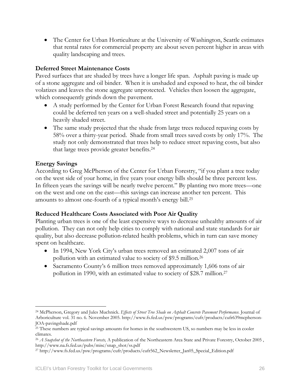• The Center for Urban Horticulture at the University of Washington, Seattle estimates that rental rates for commercial property are about seven percent higher in areas with quality landscaping and trees.

## **Deferred Street Maintenance Costs**

Paved surfaces that are shaded by trees have a longer life span. Asphalt paving is made up of a stone aggregate and oil binder. When it is unshaded and exposed to heat, the oil binder volatizes and leaves the stone aggregate unprotected. Vehicles then loosen the aggregate, which consequently grinds down the pavement.

- A study performed by the Center for Urban Forest Research found that repaying could be deferred ten years on a well-shaded street and potentially 25 years on a heavily shaded street.
- The same study projected that the shade from large trees reduced repaving costs by 58% over a thirty-year period. Shade from small trees saved costs by only 17%. The study not only demonstrated that trees help to reduce street repaving costs, but also that large trees provide greater benefits.[24](#page-25-0)

## **Energy Savings**

 $\overline{a}$ 

According to Greg McPherson of the Center for Urban Forestry, "if you plant a tree today on the west side of your home, in five years your energy bills should be three percent less. In fifteen years the savings will be nearly twelve percent." By planting two more trees—one on the west and one on the east—this savings can increase another ten percent. This amounts to almost one-fourth of a typical month's energy bill.[25](#page-25-1) 

## **Reduced Healthcare Costs Associated with Poor Air Quality**

Planting urban trees is one of the least expensive ways to decrease unhealthy amounts of air pollution. They can not only help cities to comply with national and state standards for air quality, but also decrease pollution-related health problems, which in turn can save money spent on healthcare.

- In 1994, New York City's urban trees removed an estimated 2,007 tons of air pollution with an estimated value to society of \$9.5 million.[26](#page-25-2)
- Sacramento County's 6 million trees removed approximately 1,606 tons of air pollution in 1990, with an estimated value to society of \$28.7 million.[27](#page-25-3)

<span id="page-25-0"></span><sup>24</sup> McPherson, Gregory and Jules Muchnick. *Effects of Street Tree Shade on Asphalt Concrete Pavement Performance.* Journal of Arboriculture vol. 31 no. 6. November 2005. http://www.fs.fed.us/psw/programs/cufr/products/cufr639mcpherson-JOA-pavingshade.pdf

<span id="page-25-1"></span><sup>&</sup>lt;sup>25</sup> These numbers are typical savings amounts for homes in the southwestern US, so numbers may be less in cooler climates.

<span id="page-25-2"></span><sup>26</sup> *A Snapshot of the Northeastern Forests,* A publication of the Northeastern Area State and Private Forestry, October 2005 , http://www.na.fs.fed.us/pubs/misc/snap\_shot/ss.pdf 27 http://www.fs.fed.us/psw/programs/cufr/products/cufr562\_Newsletter\_Jan05\_Special\_Edition.pdf

<span id="page-25-3"></span>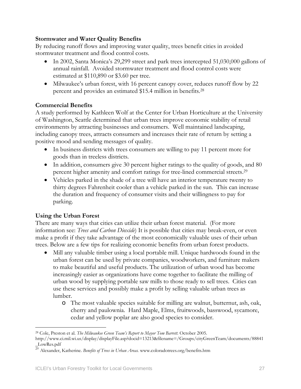## **Stormwater and Water Quality Benefits**

By reducing runoff flows and improving water quality, trees benefit cities in avoided stormwater treatment and flood control costs.

- In 2002, Santa Monica's 29,299 street and park trees intercepted 51,030,000 gallons of annual rainfall. Avoided stormwater treatment and flood control costs were estimated at \$110,890 or \$3.60 per tree.
- Milwaukee's urban forest, with 16 percent canopy cover, reduces runoff flow by 22 percent and provides an estimated \$15.4 million in benefits. [28](#page-26-0)

## **Commercial Benefits**

A study performed by Kathleen Wolf at the Center for Urban Horticulture at the University of Washington, Seattle determined that urban trees improve economic stability of retail environments by attracting businesses and consumers. Well maintained landscaping, including canopy trees, attracts consumers and increases their rate of return by setting a positive mood and sending messages of quality.

- In business districts with trees consumers are willing to pay 11 percent more for goods than in treeless districts.
- In addition, consumers give 30 percent higher ratings to the quality of goods, and 80 percent higher amenity and comfort ratings for tree-lined commercial streets.<sup>[29](#page-26-1)</sup>
- Vehicles parked in the shade of a tree will have an interior temperature twenty to thirty degrees Fahrenheit cooler than a vehicle parked in the sun. This can increase the duration and frequency of consumer visits and their willingness to pay for parking.

## **Using the Urban Forest**

There are many ways that cities can utilize their urban forest material. (For more information see: *Trees and Carbon Dioxide*) It is possible that cities may break-even, or even make a profit if they take advantage of the most economically valuable uses of their urban trees. Below are a few tips for realizing economic benefits from urban forest products.

- Mill any valuable timber using a local portable mill. Unique hardwoods found in the urban forest can be used by private companies, woodworkers, and furniture makers to make beautiful and useful products. The utilization of urban wood has become increasingly easier as organizations have come together to facilitate the milling of urban wood by supplying portable saw mills to those ready to sell trees. Cities can use these services and possibly make a profit by selling valuable urban trees as lumber.
	- o The most valuable species suitable for milling are walnut, butternut, ash, oak, cherry and paulownia. Hard Maple, Elms, fruitwoods, basswood, sycamore, cedar and yellow poplar are also good species to consider.

<span id="page-26-0"></span> $\overline{a}$ 28 Cole, Preston et al. *The Milwaukee Green Team's Report to Mayor Tom Barrett.* October 2005.

http://www.ci.mil.wi.us/display/displayFile.asp?docid=13213&filename=/Groups/cityGreenTeam/documents/88841 \_LowRes.pdf

<span id="page-26-1"></span><sup>29</sup> Alexander, Katherine. *Benefits of Trees in Urban Areas.* www.coloradotrees.org/benefits.htm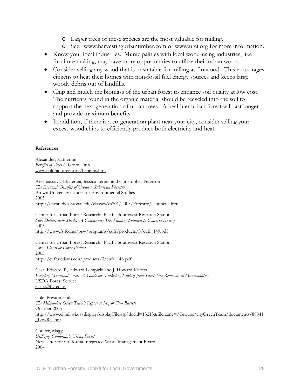- o Larger trees of these species are the most valuable for milling.
- o See: www.harvestingurbantimber.com or www.ufei.org for more information.
- Know your local industries. Municipalities with local wood-using industries, like furniture making, may have more opportunities to utilize their urban wood.
- Consider selling any wood that is unsuitable for milling as firewood. This encourages citizens to heat their homes with non-fossil fuel energy sources and keeps large woody debris out of landfills.
- Chip and mulch the biomass of the urban forest to enhance soil quality at low cost. The nutrients found in the organic material should be recycled into the soil to support the next generation of urban trees. A healthier urban forest will last longer and provide maximum benefits.
- In addition, if there is a co-generation plant near your city, consider selling your excess wood chips to efficiently produce both electricity and heat.

#### **References**

Alexander, Katherine *Benefits of Trees in Urban Areas*  [www.coloradotrees.org/benefits.htm](http://www.coloradotrees.org/benefits.htm)

Arzamassova, Ekaterina, Jessica Lerner and Christopher Peterson *The Economic Benefits of Urban / Suburban Forestry* Brown University Center for Environmental Studies 2003 <http://envstudies.brown.edu/classes/es201/2003/Forestry/econbene.htm>

Center for Urban Forest Research: Pacific Southwest Research Station *Save Dollars with Shade: A Community Tree Planting Solution to Conserve Energy* 2005 [http://www.fs.fed.us/psw/programs/cufr/products/3/cufr\\_149.pdf](http://www.fs.fed.us/psw/programs/cufr/products/3/cufr_149.pdf)

Center for Urban Forest Research: Pacific Southwest Research Station *Green Plants or Power Plants?*  2005 [http://cufr.ucdavis.edu/products/3/cufr\\_148.pdf](http://cufr.ucdavis.edu/products/3/cufr_148.pdf)

Cesa, Edward T., Edward Lempicki and J. Howard Knotts *Recycling Municipal Trees: A Guide for Marketing Sawlogs from Street Tree Removals in Municipalities*  USDA Forest Service [ecesa@fs.fed.us](mailto:ecesa@fs.fed.us)

Cole, Preston et al. *The Milwaukee Green Team's Report to Mayor Tom Barrett*  October 2005 [http://www.ci.mil.wi.us/display/displayFile.asp?docid=13213&filename=/Groups/cityGreenTeam/documents/88841](http://www.ci.mil.wi.us/display/displayFile.asp?docid=13213&filename=/Groups/cityGreenTeam/documents/88841_LowRes.pdf) [\\_LowRes.pdf](http://www.ci.mil.wi.us/display/displayFile.asp?docid=13213&filename=/Groups/cityGreenTeam/documents/88841_LowRes.pdf)

Coulter, Maggie *Utilizing California's Urban Forest*  Newsletter for California Integrated Waste Management Board 2004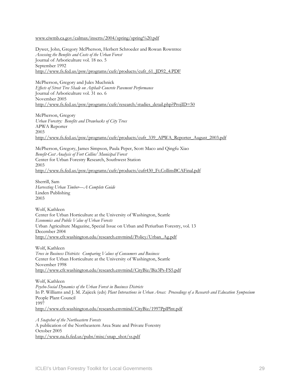[www.ciwmb.ca.gov/calmax/inserts/2004/spring/spring%20.pdf](http://www.ciwmb.ca.gov/calmax/inserts/2004/spring/spring .pdf) 

Dywer, John, Gregory McPherson, Herbert Schroeder and Rowan Rowntree *Assessing the Benefits and Costs of the Urban Forest* Journal of Arboriculture vol. 18 no. 5 September 1992 [http://www.fs.fed.us/psw/programs/cufr/products/cufr\\_61\\_JD92\\_4.PDF](http://www.fs.fed.us/psw/programs/cufr/products/cufr_61_JD92_4.PDF)

McPherson, Gregory and Jules Muchnick *Effects of Street Tree Shade on Asphalt Concrete Pavement Performance*  Journal of Arboriculture vol. 31 no. 6 November 2005 [http://www.fs.fed.us/psw/programs/cufr/research/studies\\_detail.php?ProjID=50](http://www.fs.fed.us/psw/programs/cufr/research/studies_detail.php?ProjID=50)

McPherson, Gregory *Urban Forestry: Benefits and Drawbacks of City Trees*  APWA Reporter 2003 [http://www.fs.fed.us/psw/programs/cufr/products/cufr\\_339\\_APWA\\_Reporter\\_August\\_2003.pdf](http://www.fs.fed.us/psw/programs/cufr/products/cufr_339_APWA_Reporter_August_2003.pdf)

McPherson, Gregory, James Simpson, Paula Peper, Scott Maco and Qingfu Xiao *Benefit-Cost Analysis of Fort Collins' Municipal Forest*  Center for Urban Forestry Research, Southwest Station 2003 [http://www.fs.fed.us/psw/programs/cufr/products/cufr430\\_Ft.CollinsBCAFinal.pdf](http://www.fs.fed.us/psw/programs/cufr/products/cufr430_Ft.CollinsBCAFinal.pdf)

Sherrill, Sam *Harvesting Urban Timber—A Complete Guide*  Linden Publishing 2003

Wolf, Kathleen Center for Urban Horticulture at the University of Washington, Seattle *Economics and Public Value of Urban Forests*  Urban Agriculture Magazine, Special Issue on Urban and Periurban Forestry, vol. 13 December 2004 [http://www.cfr.washington.edu/research.envmind/Policy/Urban\\_Ag.pdf](http://www.cfr.washington.edu/research.envmind/Policy/Urban_Ag.pdf)

Wolf, Kathleen *Trees in Business Districts: Comparing Values of Consumers and Business*  Center for Urban Horticulture at the University of Washington, Seattle November 1998 <http://www.cfr.washington.edu/research.envmind/CityBiz/Biz3Ps-FS5.pdf>

Wolf, Kathleen *Psycho-Social Dynamics of the Urban Forest in Business Districts*  In P. Williams and J. M. Zajicek (eds) *Plant Interactions in Urban Areas: Proceedings of a Research and Education Symposium* People Plant Council 1997 <http://www.cfr.washington.edu/research.envmind/CityBiz/1997PplPlnt.pdf>

*A Snapshot of the Northeastern Forests*  A publication of the Northeastern Area State and Private Forestry October 2005 http://www.na.fs.fed.us/pubs/misc/snap\_shot/ss.pdf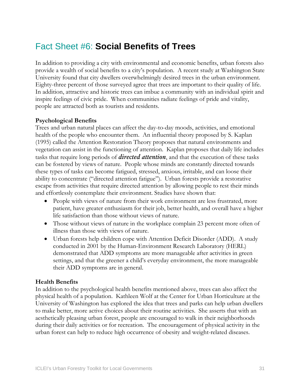## <span id="page-30-0"></span>Fact Sheet #6: **Social Benefits of Trees**

In addition to providing a city with environmental and economic benefits, urban forests also provide a wealth of social benefits to a city's population. A recent study at Washington State University found that city dwellers overwhelmingly desired trees in the urban environment. Eighty-three percent of those surveyed agree that trees are important to their quality of life. In addition, attractive and historic trees can imbue a community with an individual spirit and inspire feelings of civic pride. When communities radiate feelings of pride and vitality, people are attracted both as tourists and residents.

## **Psychological Benefits**

Trees and urban natural places can affect the day-to-day moods, activities, and emotional health of the people who encounter them. An influential theory proposed by S. Kaplan (1995) called the Attention Restoration Theory proposes that natural environments and vegetation can assist in the functioning of attention. Kaplan proposes that daily life includes tasks that require long periods of *directed attention*, and that the execution of these tasks can be fostered by views of nature. People whose minds are constantly directed towards these types of tasks can become fatigued, stressed, anxious, irritable, and can loose their ability to concentrate ("directed attention fatigue"). Urban forests provide a restorative escape from activities that require directed attention by allowing people to rest their minds and effortlessly contemplate their environment. Studies have shown that:

- People with views of nature from their work environment are less frustrated, more patient, have greater enthusiasm for their job, better health, and overall have a higher life satisfaction than those without views of nature.
- Those without views of nature in the workplace complain 23 percent more often of illness than those with views of nature.
- Urban forests help children cope with Attention Deficit Disorder (ADD). A study conducted in 2001 by the Human-Environment Research Laboratory (HERL) demonstrated that ADD symptoms are more manageable after activities in green settings, and that the greener a child's everyday environment, the more manageable their ADD symptoms are in general.

### **Health Benefits**

In addition to the psychological health benefits mentioned above, trees can also affect the physical health of a population. Kathleen Wolf at the Center for Urban Horticulture at the University of Washington has explored the idea that trees and parks can help urban dwellers to make better, more active choices about their routine activities. She asserts that with an aesthetically pleasing urban forest, people are encouraged to walk in their neighborhoods during their daily activities or for recreation. The encouragement of physical activity in the urban forest can help to reduce high occurrence of obesity and weight-related diseases.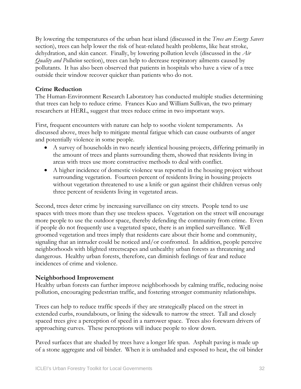By lowering the temperatures of the urban heat island (discussed in the *Trees are Energy Savers*  section), trees can help lower the risk of heat-related health problems, like heat stroke, dehydration, and skin cancer. Finally, by lowering pollution levels (discussed in the *Air Quality and Pollution* section), trees can help to decrease respiratory ailments caused by pollutants. It has also been observed that patients in hospitals who have a view of a tree outside their window recover quicker than patients who do not.

## **Crime Reduction**

The Human-Environment Research Laboratory has conducted multiple studies determining that trees can help to reduce crime. Frances Kuo and William Sullivan, the two primary researchers at HERL, suggest that trees reduce crime in two important ways.

First, frequent encounters with nature can help to soothe violent temperaments. As discussed above, trees help to mitigate mental fatigue which can cause outbursts of anger and potentially violence in some people.

- A survey of households in two nearly identical housing projects, differing primarily in the amount of trees and plants surrounding them, showed that residents living in areas with trees use more constructive methods to deal with conflict.
- A higher incidence of domestic violence was reported in the housing project without surrounding vegetation. Fourteen percent of residents living in housing projects without vegetation threatened to use a knife or gun against their children versus only three percent of residents living in vegetated areas.

Second, trees deter crime by increasing surveillance on city streets. People tend to use spaces with trees more than they use treeless spaces. Vegetation on the street will encourage more people to use the outdoor space, thereby defending the community from crime. Even if people do not frequently use a vegetated space, there is an implied surveillance. Well groomed vegetation and trees imply that residents care about their home and community, signaling that an intruder could be noticed and/or confronted. In addition, people perceive neighborhoods with blighted streetscapes and unhealthy urban forests as threatening and dangerous. Healthy urban forests, therefore, can diminish feelings of fear and reduce incidences of crime and violence.

### **Neighborhood Improvement**

Healthy urban forests can further improve neighborhoods by calming traffic, reducing noise pollution, encouraging pedestrian traffic, and fostering stronger community relationships.

Trees can help to reduce traffic speeds if they are strategically placed on the street in extended curbs, roundabouts, or lining the sidewalk to narrow the street. Tall and closely spaced trees give a perception of speed in a narrower space. Trees also forewarn drivers of approaching curves. These perceptions will induce people to slow down.

Paved surfaces that are shaded by trees have a longer life span. Asphalt paving is made up of a stone aggregate and oil binder. When it is unshaded and exposed to heat, the oil binder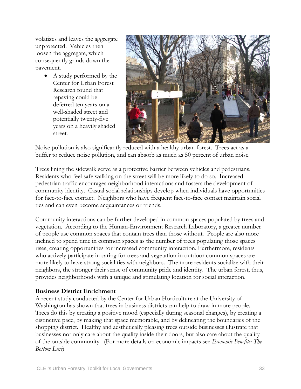volatizes and leaves the aggregate unprotected. Vehicles then loosen the aggregate, which consequently grinds down the pavement.

> • A study performed by the Center for Urban Forest Research found that repaving could be deferred ten years on a well-shaded street and potentially twenty-five years on a heavily shaded street.



Noise pollution is also significantly reduced with a healthy urban forest. Trees act as a buffer to reduce noise pollution, and can absorb as much as 50 percent of urban noise.

Trees lining the sidewalk serve as a protective barrier between vehicles and pedestrians. Residents who feel safe walking on the street will be more likely to do so. Increased pedestrian traffic encourages neighborhood interactions and fosters the development of community identity. Casual social relationships develop when individuals have opportunities for face-to-face contact. Neighbors who have frequent face-to-face contact maintain social ties and can even become acquaintances or friends.

Community interactions can be further developed in common spaces populated by trees and vegetation. According to the Human-Environment Research Laboratory, a greater number of people use common spaces that contain trees than those without. People are also more inclined to spend time in common spaces as the number of trees populating those spaces rises, creating opportunities for increased community interaction. Furthermore, residents who actively participate in caring for trees and vegetation in outdoor common spaces are more likely to have strong social ties with neighbors. The more residents socialize with their neighbors, the stronger their sense of community pride and identity. The urban forest, thus, provides neighborhoods with a unique and stimulating location for social interaction.

### **Business District Enrichment**

A recent study conducted by the Center for Urban Horticulture at the University of Washington has shown that trees in business districts can help to draw in more people. Trees do this by creating a positive mood (especially during seasonal changes), by creating a distinctive pace, by making that space memorable, and by delineating the boundaries of the shopping district. Healthy and aesthetically pleasing trees outside businesses illustrate that businesses not only care about the quality inside their doors, but also care about the quality of the outside community. (For more details on economic impacts see *Economic Benefits: The Bottom Line*)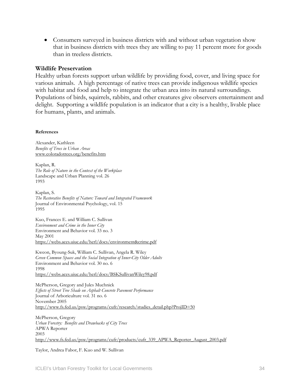• Consumers surveyed in business districts with and without urban vegetation show that in business districts with trees they are willing to pay 11 percent more for goods than in treeless districts.

#### **Wildlife Preservation**

Healthy urban forests support urban wildlife by providing food, cover, and living space for various animals. A high percentage of native trees can provide indigenous wildlife species with habitat and food and help to integrate the urban area into its natural surroundings. Populations of birds, squirrels, rabbits, and other creatures give observers entertainment and delight. Supporting a wildlife population is an indicator that a city is a healthy, livable place for humans, plants, and animals.

#### **References**

Alexander, Kathleen *Benefits of Trees in Urban Areas*  [www.coloradotrees.org/benefits.htm](http://www.coloradotrees.org/benefits.htm)

Kaplan, R. *The Role of Nature in the Context of the Workplace*  Landscape and Urban Planning vol. 26 1993

Kaplan, S. *The Restorative Benefits of Nature: Toward and Integrated Framework* Journal of Environmental Psychology, vol. 15 1995

Kuo, Frances E. and William C. Sullivan *Environment and Crime in the Inner City*  Environment and Behavior vol. 33 no. 3 May 2001 <https://webs.aces.uiuc.edu/herl/docs/environment&crime.pdf>

Kweon, Byoung-Suk, William C. Sullivan, Angela R. Wiley *Green Common Spaces and the Social Integration of Inner-City Older Adults*  Environment and Behavior vol. 30 no. 6 1998 <https://webs.aces.uiuc.edu/herl/docs/BSKSullivanWiley98.pdf>

McPherson, Gregory and Jules Muchnick *Effects of Street Tree Shade on Asphalt Concrete Pavement Performance*  Journal of Arboriculture vol. 31 no. 6 November 2005 [http://www.fs.fed.us/psw/programs/cufr/research/studies\\_detail.php?ProjID=50](http://www.fs.fed.us/psw/programs/cufr/research/studies_detail.php?ProjID=50)

McPherson, Gregory *Urban Forestry: Benefits and Drawbacks of City Trees*  APWA Reporter 2003 [http://www.fs.fed.us/psw/programs/cufr/products/cufr\\_339\\_APWA\\_Reporter\\_August\\_2003.pdf](http://www.fs.fed.us/psw/programs/cufr/products/cufr_339_APWA_Reporter_August_2003.pdf)

Taylor, Andrea Fabor, F. Kuo and W. Sullivan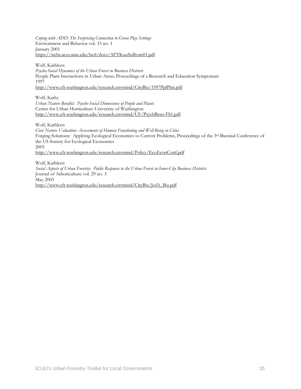*Coping with ADD: The Surprising Connection to Green Play Settings* Environment and Behavior vol. 33 no. 1 January 2001 <https://webs.aces.uiuc.edu/herl/docs/AFTKuoSullivan01.pdf>

Wolf, Kathleen

*Psycho-Social Dynamics of the Urban Forest in Business Districts*  People Plant Interactions in Urban Areas, Proceedings of a Research and Education Symposium 1997 <http://www.cfr.washington.edu/research.envmind/CityBiz/1997PplPlnt.pdf>

Wolf, Kathy *Urban Nature Benefits: Psycho-Social Dimensions of People and Plants*  Center for Urban Horticulture University of Washington <http://www.cfr.washington.edu/research.envmind/UF/PsychBens-FS1.pdf>

Wolf, Kathleen

*Civic Nature Valuation: Assessments of Human Functioning and Well-Being in Cities*  Forging Solutions: Applying Ecological Economics to Current Problems, Proceedings of the 3rd Biennial Conference of the US Society for Ecological Economics 2005 <http://www.cfr.washington.edu/research.envmind/Policy/EcoEconConf.pdf>

Wolf, Kathleen *Social Aspects of Urban Forestry: Public Response to the Urban Forest in Inner-City Business Districts*  Journal of Arboriculture vol. 29 no. 3 May 2003 [http://www.cfr.washington.edu/research.envmind/CityBiz/JofA\\_Biz.pdf](http://www.cfr.washington.edu/research.envmind/CityBiz/JofA_Biz.pdf)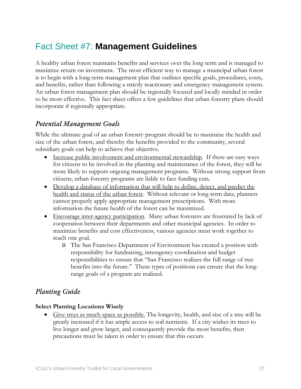## Fact Sheet #7: **Management Guidelines**

A healthy urban forest maintains benefits and services over the long term and is managed to maximize return on investment. The most efficient way to manage a municipal urban forest is to begin with a long-term management plan that outlines specific goals, procedures, costs, and benefits, rather than following a strictly reactionary and emergency management system. An urban forest management plan should be regionally focused and locally minded in order to be most effective. This fact sheet offers a few guidelines that urban forestry plans should incorporate if regionally appropriate.

### *Potential Management Goals*

While the ultimate goal of an urban forestry program should be to maximize the health and size of the urban forest, and thereby the benefits provided to the community, several subsidiary goals can help to achieve that objective.

- Increase public involvement and environmental stewardship. If there are easy ways for citizens to be involved in the planting and maintenance of the forest, they will be more likely to support ongoing management programs. Without strong support from citizens, urban forestry programs are liable to face funding cuts.
- Develop a database of information that will help to define, detect, and predict the health and status of the urban forest. Without relevant or long-term data, planners cannot properly apply appropriate management prescriptions. With more information the future health of the forest can be maximized.
- Encourage inter-agency participation. Many urban foresters are frustrated by lack of cooperation between their departments and other municipal agencies. In order to maximize benefits and cost effectiveness, various agencies must work together to reach one goal.
	- o The San Francisco Department of Environment has created a position with responsibility for fundraising, interagency coordination and budget responsibilities to ensure that "San Francisco realizes the full range of tree benefits into the future." These types of positions can ensure that the longrange goals of a program are realized.

## *Planting Guide*

#### **Select Planting Locations Wisely**

• Give trees as much space as possible. The longevity, health, and size of a tree will be greatly increased if it has ample access to soil nutrients. If a city wishes its trees to live longer and grow larger, and consequently provide the most benefits, then precautions must be taken in order to ensure that this occurs.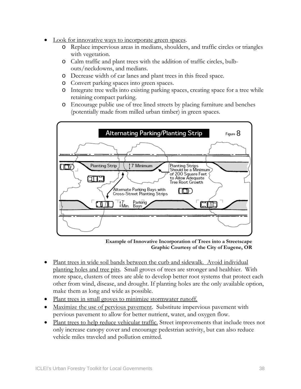- Look for innovative ways to incorporate green spaces.
	- o Replace impervious areas in medians, shoulders, and traffic circles or triangles with vegetation.
	- o Calm traffic and plant trees with the addition of traffic circles, bulbouts/neckdowns, and medians.
	- o Decrease width of car lanes and plant trees in this freed space.
	- o Convert parking spaces into green spaces.
	- o Integrate tree wells into existing parking spaces, creating space for a tree while retaining compact parking.
	- o Encourage public use of tree lined streets by placing furniture and benches (potentially made from milled urban timber) in green spaces.



**Example of Innovative Incorporation of Trees into a Streetscape Graphic Courtesy of the City of Eugene, OR** 

- Plant trees in wide soil bands between the curb and sidewalk. Avoid individual planting holes and tree pits. Small groves of trees are stronger and healthier. With more space, clusters of trees are able to develop better root systems that protect each other from wind, disease, and drought. If planting holes are the only available option, make them as long and wide as possible.
- Plant trees in small groves to minimize stormwater runoff.
- Maximize the use of pervious pavement. Substitute impervious pavement with pervious pavement to allow for better nutrient, water, and oxygen flow.
- Plant trees to help reduce vehicular traffic. Street improvements that include trees not only increase canopy cover and encourage pedestrian activity, but can also reduce vehicle miles traveled and pollution emitted.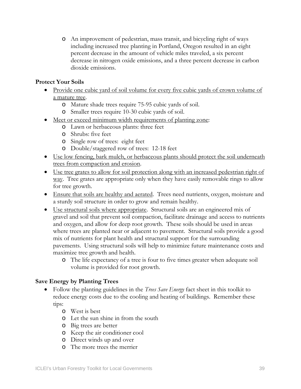o An improvement of pedestrian, mass transit, and bicycling right of ways including increased tree planting in Portland, Oregon resulted in an eight percent decrease in the amount of vehicle miles traveled, a six percent decrease in nitrogen oxide emissions, and a three percent decrease in carbon dioxide emissions.

#### **Protect Your Soils**

- Provide one cubic yard of soil volume for every five cubic yards of crown volume of a mature tree.
	- o Mature shade trees require 75-95 cubic yards of soil.
	- o Smaller trees require 10-30 cubic yards of soil.
- Meet or exceed minimum width requirements of planting zone:
	- o Lawn or herbaceous plants: three feet
	- o Shrubs: five feet
	- o Single row of trees: eight feet
	- o Double/staggered row of trees: 12-18 feet
- Use low fencing, bark mulch, or herbaceous plants should protect the soil underneath trees from compaction and erosion.
- Use tree grates to allow for soil protection along with an increased pedestrian right of way. Tree grates are appropriate only when they have easily removable rings to allow for tree growth.
- Ensure that soils are healthy and aerated. Trees need nutrients, oxygen, moisture and a sturdy soil structure in order to grow and remain healthy.
- Use structural soils where appropriate. Structural soils are an engineered mix of gravel and soil that prevent soil compaction, facilitate drainage and access to nutrients and oxygen, and allow for deep root growth. These soils should be used in areas where trees are planted near or adjacent to pavement. Structural soils provide a good mix of nutrients for plant health and structural support for the surrounding pavements. Using structural soils will help to minimize future maintenance costs and maximize tree growth and health.
	- o The life expectancy of a tree is four to five times greater when adequate soil volume is provided for root growth.

#### **Save Energy by Planting Trees**

- Follow the planting guidelines in the *Trees Save Energy* fact sheet in this toolkit to reduce energy costs due to the cooling and heating of buildings. Remember these tips:
	- o West is best
	- o Let the sun shine in from the south
	- o Big trees are better
	- o Keep the air conditioner cool
	- o Direct winds up and over
	- o The more trees the merrier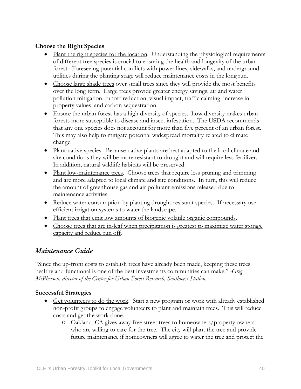#### **Choose the Right Species**

- Plant the right species for the location. Understanding the physiological requirements of different tree species is crucial to ensuring the health and longevity of the urban forest. Foreseeing potential conflicts with power lines, sidewalks, and underground utilities during the planting stage will reduce maintenance costs in the long run.
- Choose large shade trees over small trees since they will provide the most benefits over the long term. Large trees provide greater energy savings, air and water pollution mitigation, runoff reduction, visual impact, traffic calming, increase in property values, and carbon sequestration.
- Ensure the urban forest has a high diversity of species. Low diversity makes urban forests more susceptible to disease and insect infestation. The USDA recommends that any one species does not account for more than five percent of an urban forest. This may also help to mitigate potential widespread mortality related to climate change.
- Plant native species. Because native plants are best adapted to the local climate and site conditions they will be more resistant to drought and will require less fertilizer. In addition, natural wildlife habitats will be preserved.
- Plant low-maintenance trees. Choose trees that require less pruning and trimming and are more adapted to local climate and site conditions. In turn, this will reduce the amount of greenhouse gas and air pollutant emissions released due to maintenance activities.
- Reduce water consumption by planting drought-resistant species. If necessary use efficient irrigation systems to water the landscape.
- Plant trees that emit low amounts of biogenic volatile organic compounds.
- Choose trees that are in-leaf when precipitation is greatest to maximize water storage capacity and reduce run off.

### *Maintenance Guide*

"Since the up-front costs to establish trees have already been made, keeping these trees healthy and functional is one of the best investments communities can make." *-Greg McPherson, director of the Center for Urban Forest Research, Southwest Station.* 

#### **Successful Strategies**

- Get volunteers to do the work! Start a new program or work with already established non-profit groups to engage volunteers to plant and maintain trees. This will reduce costs and get the work done.
	- o Oakland, CA gives away free street trees to homeowners/property owners who are willing to care for the tree. The city will plant the tree and provide future maintenance if homeowners will agree to water the tree and protect the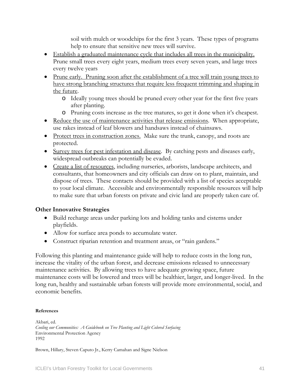soil with mulch or woodchips for the first 3 years. These types of programs help to ensure that sensitive new trees will survive.

- Establish a graduated maintenance cycle that includes all trees in the municipality. Prune small trees every eight years, medium trees every seven years, and large trees every twelve years
- Prune early. Pruning soon after the establishment of a tree will train young trees to have strong branching structures that require less frequent trimming and shaping in the future.
	- o Ideally young trees should be pruned every other year for the first five years after planting.
	- o Pruning costs increase as the tree matures, so get it done when it's cheapest.
- Reduce the use of maintenance activities that release emissions. When appropriate, use rakes instead of leaf blowers and handsaws instead of chainsaws.
- Protect trees in construction zones. Make sure the trunk, canopy, and roots are protected.
- Survey trees for pest infestation and disease. By catching pests and diseases early, widespread outbreaks can potentially be evaded.
- Create a list of resources, including nurseries, arborists, landscape architects, and consultants, that homeowners and city officials can draw on to plant, maintain, and dispose of trees. These contacts should be provided with a list of species acceptable to your local climate. Accessible and environmentally responsible resources will help to make sure that urban forests on private and civic land are properly taken care of.

### **Other Innovative Strategies**

- Build recharge areas under parking lots and holding tanks and cisterns under playfields.
- Allow for surface area ponds to accumulate water.
- Construct riparian retention and treatment areas, or "rain gardens."

Following this planting and maintenance guide will help to reduce costs in the long run, increase the vitality of the urban forest, and decrease emissions released to unnecessary maintenance activities. By allowing trees to have adequate growing space, future maintenance costs will be lowered and trees will be healthier, larger, and longer-lived. In the long run, healthy and sustainable urban forests will provide more environmental, social, and economic benefits.

#### **References**

Akbari, ed. *Cooling our Communities: A Guidebook on Tree Planting and Light Colored Surfacing* Environmental Protection Agency 1992

Brown, Hillary, Steven Caputo Jr., Kerry Camahan and Signe Nielson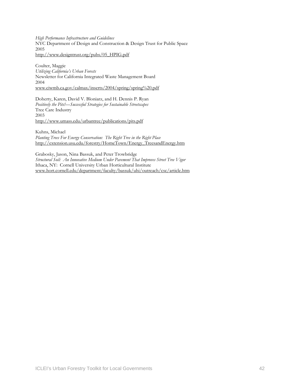*High Performance Infrastructure and Guidelines*  NYC Department of Design and Construction & Design Trust for Public Space 2005 [http://www.designtrust.org/pubs/05\\_HPIG.pdf](http://www.designtrust.org/pubs/05_HPIG.pdf)

Coulter, Maggie *Utilizing California's Urban Forests*  Newsletter for California Integrated Waste Management Board 2004 [www.ciwmb.ca.gov/calmax/inserts/2004/spring/spring%20.pdf](http://www.ciwmb.ca.gov/calmax/inserts/2004/spring/spring .pdf) 

Doherty, Karen, David V. Bloniarz, and H. Dennis P. Ryan *Positively the Pits!—Successful Strategies for Sustainable Streetscapes*  Tree Care Industry 2003 <http://www.umass.edu/urbantree/publications/pits.pdf>

Kuhns, Michael *Planting Trees For Energy Conservation: The Right Tree in the Right Place*  [http://extension.usu.edu/forestry/HomeTown/Energy\\_TreesandEnergy.htm](http://extension.usu.edu/forestry/HomeTown/Energy_TreesandEnergy.htm)

Grabosky, Jason, Nina Bassuk, and Peter Trowbridge *Structural Soil: An Innovative Medium Under Pavement That Improves Street Tree Vigor*  Ithaca, NY: Cornell University Urban Horticultural Institute [www.hort.cornell.edu/department/faculty/bassuk/uhi/outreach/csc/article.htm](http://www.hort.cornell.edu/department/faculty/bassuk/uhi/outreach/csc/article.htm)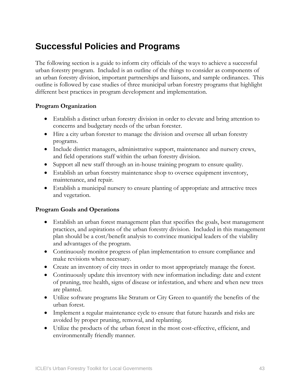## **Successful Policies and Programs**

The following section is a guide to inform city officials of the ways to achieve a successful urban forestry program. Included is an outline of the things to consider as components of an urban forestry division, important partnerships and liaisons, and sample ordinances. This outline is followed by case studies of three municipal urban forestry programs that highlight different best practices in program development and implementation.

#### **Program Organization**

- Establish a distinct urban forestry division in order to elevate and bring attention to concerns and budgetary needs of the urban forester.
- Hire a city urban forester to manage the division and oversee all urban forestry programs.
- Include district managers, administrative support, maintenance and nursery crews, and field operations staff within the urban forestry division.
- Support all new staff through an in-house training program to ensure quality.
- Establish an urban forestry maintenance shop to oversee equipment inventory, maintenance, and repair.
- Establish a municipal nursery to ensure planting of appropriate and attractive trees and vegetation.

#### **Program Goals and Operations**

- Establish an urban forest management plan that specifies the goals, best management practices, and aspirations of the urban forestry division. Included in this management plan should be a cost/benefit analysis to convince municipal leaders of the viability and advantages of the program.
- Continuously monitor progress of plan implementation to ensure compliance and make revisions when necessary.
- Create an inventory of city trees in order to most appropriately manage the forest.
- Continuously update this inventory with new information including: date and extent of pruning, tree health, signs of disease or infestation, and where and when new trees are planted.
- Utilize software programs like Stratum or City Green to quantify the benefits of the urban forest.
- Implement a regular maintenance cycle to ensure that future hazards and risks are avoided by proper pruning, removal, and replanting.
- Utilize the products of the urban forest in the most cost-effective, efficient, and environmentally friendly manner.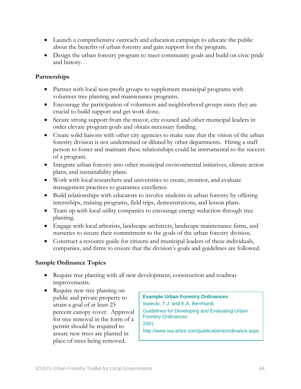- Launch a comprehensive outreach and education campaign to educate the public about the benefits of urban forestry and gain support for the program.
- Design the urban forestry program to meet community goals and build on civic pride and history.

#### **Partnerships**

- Partner with local non-profit groups to supplement municipal programs with volunteer tree planting and maintenance programs.
- Encourage the participation of volunteers and neighborhood groups since they are crucial to build support and get work done.
- Secure strong support from the mayor, city council and other municipal leaders in order elevate program goals and obtain necessary funding.
- Create solid liaisons with other city agencies to make sure that the vision of the urban forestry division is not undermined or diluted by other departments. Hiring a staff person to foster and maintain these relationships could be instrumental to the success of a program.
- Integrate urban forestry into other municipal environmental initiatives, climate action plans, and sustainability plans.
- Work with local researchers and universities to create, monitor, and evaluate management practices to guarantee excellence.
- Build relationships with educators to involve students in urban forestry by offering internships, training programs, field trips, demonstrations, and lesson plans.
- Team up with local utility companies to encourage energy reduction through tree planting.
- Engage with local arborists, landscape architects, landscape maintenance firms, and nurseries to secure their commitment to the goals of the urban forestry division.
- Construct a resource guide for citizens and municipal leaders of these individuals, companies, and firms to ensure that the division's goals and guidelines are followed.

### **Sample Ordinance Topics**

- Require tree planting with all new development, construction and roadway improvements.
- Require new tree planting on public and private property to attain a goal of at least 25 percent canopy cover. Approval for tree removal in the form of a permit should be required to assure new trees are planted in place of trees being removed.

**Example Urban Forestry Ordinances**  Swiecki, T.J. and E.A. Bernhardt Guidelines for Developing and Evaluating Urban Forestry Ordinances 2001 http://www.isa-arbor.com/publications/ordinance.aspx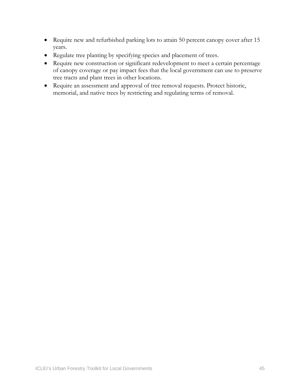- Require new and refurbished parking lots to attain 50 percent canopy cover after 15 years.
- Regulate tree planting by specifying species and placement of trees.
- Require new construction or significant redevelopment to meet a certain percentage of canopy coverage or pay impact fees that the local government can use to preserve tree tracts and plant trees in other locations.
- Require an assessment and approval of tree removal requests. Protect historic, memorial, and native trees by restricting and regulating terms of removal.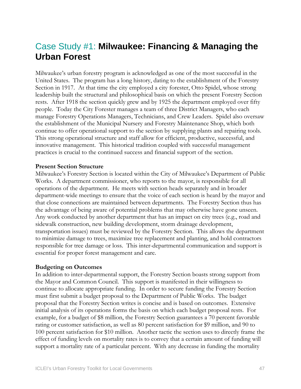## Case Study #1: **Milwaukee: Financing & Managing the Urban Forest**

Milwaukee's urban forestry program is acknowledged as one of the most successful in the United States. The program has a long history, dating to the establishment of the Forestry Section in 1917. At that time the city employed a city forester, Otto Spidel, whose strong leadership built the structural and philosophical basis on which the present Forestry Section rests. After 1918 the section quickly grew and by 1925 the department employed over fifty people. Today the City Forester manages a team of three District Managers, who each manage Forestry Operations Managers, Technicians, and Crew Leaders. Spidel also oversaw the establishment of the Municipal Nursery and Forestry Maintenance Shop, which both continue to offer operational support to the section by supplying plants and repairing tools. This strong operational structure and staff allow for efficient, productive, successful, and innovative management. This historical tradition coupled with successful management practices is crucial to the continued success and financial support of the section.

#### **Present Section Structure**

Milwaukee's Forestry Section is located within the City of Milwaukee's Department of Public Works. A department commissioner, who reports to the mayor, is responsible for all operations of the department. He meets with section heads separately and in broader department-wide meetings to ensure that the voice of each section is heard by the mayor and that close connections are maintained between departments. The Forestry Section thus has the advantage of being aware of potential problems that may otherwise have gone unseen. Any work conducted by another department that has an impact on city trees (e.g., road and sidewalk construction, new building development, storm drainage development, transportation issues) must be reviewed by the Forestry Section. This allows the department to minimize damage to trees, maximize tree replacement and planting, and hold contractors responsible for tree damage or loss. This inter-departmental communication and support is essential for proper forest management and care.

#### **Budgeting on Outcomes**

In addition to inter-departmental support, the Forestry Section boasts strong support from the Mayor and Common Council. This support is manifested in their willingness to continue to allocate appropriate funding. In order to secure funding the Forestry Section must first submit a budget proposal to the Department of Public Works. The budget proposal that the Forestry Section writes is concise and is based on outcomes. Extensive initial analysis of its operations forms the basis on which each budget proposal rests. For example, for a budget of \$8 million, the Forestry Section guarantees a 70 percent favorable rating or customer satisfaction, as well as 80 percent satisfaction for \$9 million, and 90 to 100 percent satisfaction for \$10 million. Another tactic the section uses to directly frame the effect of funding levels on mortality rates is to convey that a certain amount of funding will support a mortality rate of a particular percent. With any decrease in funding the mortality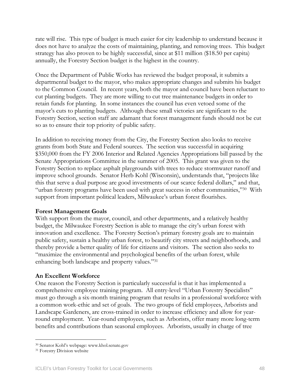rate will rise. This type of budget is much easier for city leadership to understand because it does not have to analyze the costs of maintaining, planting, and removing trees. This budget strategy has also proven to be highly successful, since at \$11 million (\$18.50 per capita) annually, the Forestry Section budget is the highest in the country.

Once the Department of Public Works has reviewed the budget proposal, it submits a departmental budget to the mayor, who makes appropriate changes and submits his budget to the Common Council. In recent years, both the mayor and council have been reluctant to cut planting budgets. They are more willing to cut tree maintenance budgets in order to retain funds for planting. In some instances the council has even vetoed some of the mayor's cuts to planting budgets. Although these small victories are significant to the Forestry Section, section staff are adamant that forest management funds should not be cut so as to ensure their top priority of public safety.

In addition to receiving money from the City, the Forestry Section also looks to receive grants from both State and Federal sources. The section was successful in acquiring \$350,000 from the FY 2006 Interior and Related Agencies Appropriations bill passed by the Senate Appropriations Committee in the summer of 2005. This grant was given to the Forestry Section to replace asphalt playgrounds with trees to reduce stormwater runoff and improve school grounds. Senator Herb Kohl (Wisconsin), understands that, "projects like this that serve a dual purpose are good investments of our scarce federal dollars," and that, "urban forestry programs have been used with great success in other communities,"[30](#page-47-0) With support from important political leaders, Milwaukee's urban forest flourishes.

#### **Forest Management Goals**

With support from the mayor, council, and other departments, and a relatively healthy budget, the Milwaukee Forestry Section is able to manage the city's urban forest with innovation and excellence. The Forestry Section's primary forestry goals are to maintain public safety, sustain a healthy urban forest, to beautify city streets and neighborhoods, and thereby provide a better quality of life for citizens and visitors. The section also seeks to "maximize the environmental and psychological benefits of the urban forest, while enhancing both landscape and property values."[31](#page-47-1) 

#### **An Excellent Workforce**

One reason the Forestry Section is particularly successful is that it has implemented a comprehensive employee training program. All entry-level "Urban Forestry Specialists" must go through a six-month training program that results in a professional workforce with a common work-ethic and set of goals. The two groups of field employees, Arborists and Landscape Gardeners, are cross-trained in order to increase efficiency and allow for yearround employment. Year-round employees, such as Arborists, offer many more long-term benefits and contributions than seasonal employees. Arborists, usually in charge of tree

 $\overline{a}$ 

<span id="page-47-0"></span><sup>&</sup>lt;sup>30</sup> Senator Kohl's webpage: www.khol.senate.gov<br><sup>31</sup> Forestry Division website

<span id="page-47-1"></span>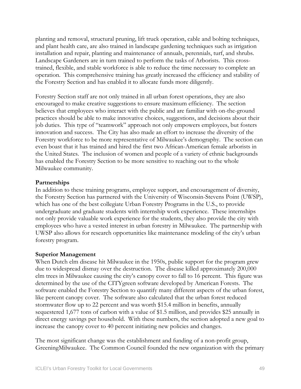planting and removal, structural pruning, lift truck operation, cable and bolting techniques, and plant health care, are also trained in landscape gardening techniques such as irrigation installation and repair, planting and maintenance of annuals, perennials, turf, and shrubs. Landscape Gardeners are in turn trained to perform the tasks of Arborists. This crosstrained, flexible, and stable workforce is able to reduce the time necessary to complete an operation. This comprehensive training has greatly increased the efficiency and stability of the Forestry Section and has enabled it to allocate funds more diligently.

Forestry Section staff are not only trained in all urban forest operations, they are also encouraged to make creative suggestions to ensure maximum efficiency. The section believes that employees who interact with the public and are familiar with on-the-ground practices should be able to make innovative choices, suggestions, and decisions about their job duties. This type of "teamwork" approach not only empowers employees, but fosters innovation and success. The City has also made an effort to increase the diversity of the Forestry workforce to be more representative of Milwaukee's demography. The section can even boast that it has trained and hired the first two African-American female arborists in the United States. The inclusion of women and people of a variety of ethnic backgrounds has enabled the Forestry Section to be more sensitive to reaching out to the whole Milwaukee community.

#### **Partnerships**

In addition to these training programs, employee support, and encouragement of diversity, the Forestry Section has partnered with the University of Wisconsin-Stevens Point (UWSP), which has one of the best collegiate Urban Forestry Programs in the U.S., to provide undergraduate and graduate students with internship work experience. These internships not only provide valuable work experience for the students, they also provide the city with employees who have a vested interest in urban forestry in Milwaukee. The partnership with UWSP also allows for research opportunities like maintenance modeling of the city's urban forestry program.

#### **Superior Management**

When Dutch elm disease hit Milwaukee in the 1950s, public support for the program grew due to widespread dismay over the destruction. The disease killed approximately 200,000 elm trees in Milwaukee causing the city's canopy cover to fall to 16 percent. This figure was determined by the use of the CITYgreen software developed by American Forests. The software enabled the Forestry Section to quantify many different aspects of the urban forest, like percent canopy cover. The software also calculated that the urban forest reduced stormwater flow up to 22 percent and was worth \$15.4 million in benefits, annually sequestered 1,677 tons of carbon with a value of \$1.5 million, and provides \$25 annually in direct energy savings per household. With these numbers, the section adopted a new goal to increase the canopy cover to 40 percent initiating new policies and changes.

The most significant change was the establishment and funding of a non-profit group, GreeningMilwaukee. The Common Council founded the new organization with the primary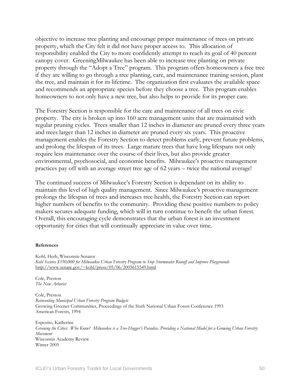objective to increase tree planting and encourage proper maintenance of trees on private property, which the City felt it did not have proper access to. This allocation of responsibility enabled the City to more confidently attempt to reach its goal of 40 percent canopy cover. GreeningMilwaukee has been able to increase tree planting on private property through the "Adopt a Tree" program. This program offers homeowners a free tree if they are willing to go through a tree planting, care, and maintenance training session, plant the tree, and maintain it for its lifetime. The organization first evaluates the available space and recommends an appropriate species before they choose a tree. This program enables homeowners to not only have a new tree, but also helps to provide for its proper care.

The Forestry Section is responsible for the care and maintenance of all trees on civic property. The city is broken up into 160 acre management units that are maintained with regular pruning cycles. Trees smaller than 12 inches in diameter are pruned every three years and trees larger than 12 inches in diameter are pruned every six years. This proactive management enables the Forestry Section to detect problems early, prevent future problems, and prolong the lifespan of its trees. Large mature trees that have long lifespans not only require less maintenance over the course of their lives, but also provide greater environmental, psychosocial, and economic benefits. Milwaukee's proactive management practices pay off with an average street tree age of 62 years – twice the national average!

The continued success of Milwaukee's Forestry Section is dependant on its ability to maintain this level of high quality management. Since Milwaukee's proactive management prolongs the lifespan of trees and increases tree health, the Forestry Section can report higher numbers of benefits to the community. Providing these positive numbers to policy makers secures adequate funding, which will in turn continue to benefit the urban forest. Overall, this encouraging cycle demonstrates that the urban forest is an investment opportunity for cities that will continually appreciate in value over time.

#### **References**

Kohl, Herb, Wisconsin Senator *Kohl Secures \$350,000 for Milwaukee Urban Forestry Program to Stop Stormwater Runoff and Improve Playgrounds*  <http://www.senate.gov/~kohl/press/05/06/2005615549.html>

Cole, Preston *The New Arborist* 

Cole, Preston *Reinventing Municipal Urban Forestry Program Budgets*  Growing Greener Communities, Proceedings of the Sixth National Urban Forest Conference 1993 American Forests, 1994

Esposito, Katherine *Greening the Cities: Who Knew? Milwaukee is a Tree-Hugger's Paradise, Providing a National Model for a Growing Urban Forestry Movement*  Wisconsin Academy Review Winter 2005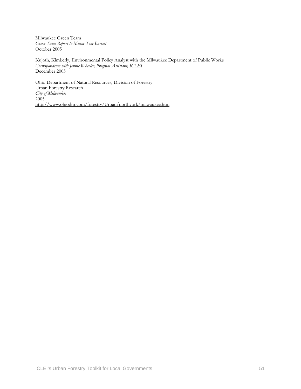Milwaukee Green Team *Green Team Report to Mayor Tom Barrett*  October 2005

Kujoth, Kimberly, Environmental Policy Analyst with the Milwaukee Department of Public Works *Correspondence with Jennie Wheeler, Program Assistant, ICLEI*  December 2005

Ohio Department of Natural Resources, Division of Forestry Urban Forestry Research *City of Milwaukee*   $2005$ <http://www.ohiodnr.com/forestry/Urban/northyork/milwaukee.htm>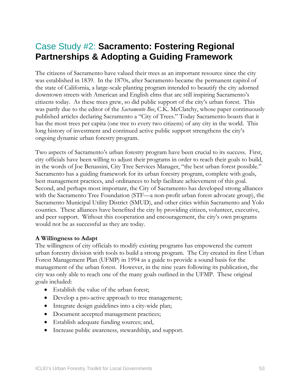## Case Study #2: **Sacramento: Fostering Regional Partnerships & Adopting a Guiding Framework**

The citizens of Sacramento have valued their trees as an important resource since the city was established in 1839. In the 1870s, after Sacramento became the permanent capitol of the state of California, a large-scale planting program intended to beautify the city adorned downtown streets with American and English elms that are still inspiring Sacramento's citizens today. As these trees grew, so did public support of the city's urban forest. This was partly due to the editor of the *Sacramento Bee*, C.K. McClatchy, whose paper continuously published articles declaring Sacramento a "City of Trees." Today Sacramento boasts that it has the most trees per capita (one tree to every two citizens) of any city in the world. This long history of investment and continued active public support strengthens the city's ongoing dynamic urban forestry program.

Two aspects of Sacramento's urban forestry program have been crucial to its success. First, city officials have been willing to adjust their programs in order to reach their goals to build, in the words of Joe Benassini, City Tree Services Manager, "the best urban forest possible." Sacramento has a guiding framework for its urban forestry program, complete with goals, best management practices, and ordinances to help facilitate achievement of this goal. Second, and perhaps most important, the City of Sacramento has developed strong alliances with the Sacramento Tree Foundation (STF—a non-profit urban forest advocate group), the Sacramento Municipal Utility District (SMUD), and other cities within Sacramento and Yolo counties. These alliances have benefited the city by providing citizen, volunteer, executive, and peer support. Without this cooperation and encouragement, the city's own programs would not be as successful as they are today.

#### **A Willingness to Adapt**

The willingness of city officials to modify existing programs has empowered the current urban forestry division with tools to build a strong program. The City created its first Urban Forest Management Plan (UFMP) in 1994 as a guide to provide a sound basis for the management of the urban forest. However, in the nine years following its publication, the city was only able to reach one of the many goals outlined in the UFMP. These original goals included:

- Establish the value of the urban forest;
- Develop a pro-active approach to tree management;
- Integrate design guidelines into a city-wide plan;
- Document accepted management practices;
- Establish adequate funding sources; and,
- Increase public awareness, stewardship, and support.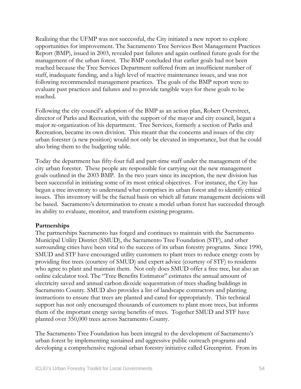Realizing that the UFMP was not successful, the City initiated a new report to explore opportunities for improvement. The Sacramento Tree Services Best Management Practices Report (BMP), issued in 2003, revealed past failures and again outlined future goals for the management of the urban forest. The BMP concluded that earlier goals had not been reached because the Tree Services Department suffered from an insufficient number of staff, inadequate funding, and a high level of reactive maintenance issues, and was not following recommended management practices. The goals of the BMP report were to evaluate past practices and failures and to provide tangible ways for these goals to be reached.

Following the city council's adoption of the BMP as an action plan, Robert Overstreet, director of Parks and Recreation, with the support of the mayor and city council, began a major re-organization of his department. Tree Services, formerly a section of Parks and Recreation, became its own division. This meant that the concerns and issues of the city urban forester (a new position) would not only be elevated in importance, but that he could also bring them to the budgeting table.

Today the department has fifty-four full and part-time staff under the management of the city urban forester. These people are responsible for carrying out the new management goals outlined in the 2003 BMP. In the two years since its inception, the new division has been successful in initiating some of its most critical objectives. For instance, the City has begun a tree inventory to understand what comprises its urban forest and to identify critical issues. This inventory will be the factual basis on which all future management decisions will be based. Sacramento's determination to create a model urban forest has succeeded through its ability to evaluate, monitor, and transform existing programs.

#### **Partnerships**

The partnerships Sacramento has forged and continues to maintain with the Sacramento Municipal Utility District (SMUD), the Sacramento Tree Foundation (STF), and other surrounding cities have been vital to the success of its urban forestry programs. Since 1990, SMUD and STF have encouraged utility customers to plant trees to reduce energy costs by providing free trees (courtesy of SMUD) and expert advice (courtesy of STF) to residents who agree to plant and maintain them. Not only does SMUD offer a free tree, but also an online calculator tool. The "Tree Benefits Estimator" estimates the annual amount of electricity saved and annual carbon dioxide sequestration of trees shading buildings in Sacramento County. SMUD also provides a list of landscape contractors and planting instructions to ensure that trees are planted and cared for appropriately. This technical support has not only encouraged thousands of customers to plant more trees, but informs them of the important energy saving benefits of trees. Together SMUD and STF have planted over 350,000 trees across Sacramento County.

The Sacramento Tree Foundation has been integral to the development of Sacramento's urban forest by implementing sustained and aggressive public outreach programs and developing a comprehensive regional urban forestry initiative called Greenprint. From its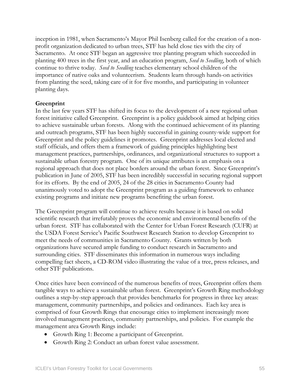inception in 1981, when Sacramento's Mayor Phil Isenberg called for the creation of a nonprofit organization dedicated to urban trees, STF has held close ties with the city of Sacramento. At once STF began an aggressive tree planting program which succeeded in planting 400 trees in the first year, and an education program, *Seed to Seedling*, both of which continue to thrive today. *Seed to Seedling* teaches elementary school children of the importance of native oaks and volunteerism. Students learn through hands-on activities from planting the seed, taking care of it for five months, and participating in volunteer planting days.

#### **Greenprint**

In the last few years STF has shifted its focus to the development of a new regional urban forest initiative called Greenprint. Greenprint is a policy guidebook aimed at helping cities to achieve sustainable urban forests. Along with the continued achievement of its planting and outreach programs, STF has been highly successful in gaining county-wide support for Greenprint and the policy guidelines it promotes. Greenprint addresses local elected and staff officials, and offers them a framework of guiding principles highlighting best management practices, partnerships, ordinances, and organizational structures to support a sustainable urban forestry program. One of its unique attributes is an emphasis on a regional approach that does not place borders around the urban forest. Since Greenprint's publication in June of 2005, STF has been incredibly successful in securing regional support for its efforts. By the end of 2005, 24 of the 28 cities in Sacramento County had unanimously voted to adopt the Greenprint program as a guiding framework to enhance existing programs and initiate new programs benefiting the urban forest.

The Greenprint program will continue to achieve results because it is based on solid scientific research that irrefutably proves the economic and environmental benefits of the urban forest. STF has collaborated with the Center for Urban Forest Research (CUFR) at the USDA Forest Service's Pacific Southwest Research Station to develop Greenprint to meet the needs of communities in Sacramento County. Grants written by both organizations have secured ample funding to conduct research in Sacramento and surrounding cities. STF disseminates this information in numerous ways including compelling fact sheets, a CD-ROM video illustrating the value of a tree, press releases, and other STF publications.

Once cities have been convinced of the numerous benefits of trees, Greenprint offers them tangible ways to achieve a sustainable urban forest. Greenprint's Growth Ring methodology outlines a step-by-step approach that provides benchmarks for progress in three key areas: management, community partnerships, and policies and ordinances. Each key area is comprised of four Growth Rings that encourage cities to implement increasingly more involved management practices, community partnerships, and policies. For example the management area Growth Rings include:

- Growth Ring 1: Become a participant of Greenprint.
- Growth Ring 2: Conduct an urban forest value assessment.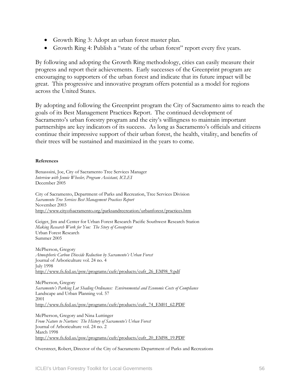- Growth Ring 3: Adopt an urban forest master plan.
- Growth Ring 4: Publish a "state of the urban forest" report every five years.

By following and adopting the Growth Ring methodology, cities can easily measure their progress and report their achievements. Early successes of the Greenprint program are encouraging to supporters of the urban forest and indicate that its future impact will be great. This progressive and innovative program offers potential as a model for regions across the United States.

By adopting and following the Greenprint program the City of Sacramento aims to reach the goals of its Best Management Practices Report. The continued development of Sacramento's urban forestry program and the city's willingness to maintain important partnerships are key indicators of its success. As long as Sacramento's officials and citizens continue their impressive support of their urban forest, the health, vitality, and benefits of their trees will be sustained and maximized in the years to come.

#### **References**

Benasssini, Joe, City of Sacramento Tree Services Manager *Interview with Jennie Wheeler, Program Assistant, ICLEI*  December 2005

City of Sacramento, Department of Parks and Recreation, Tree Services Division *Sacramento Tree Services Best Management Practices Report*  November 2003 <http://www.cityofsacramento.org/parksandrecreation/urbanforest/practices.htm>

Geiger, Jim and Center for Urban Forest Research Pacific Southwest Research Station *Making Research Work for You: The Story of Greenprint*  Urban Forest Research Summer 2005

McPherson, Gregory *Atmospheric Carbon Dioxide Reduction by Sacramento's Urban Forest*  Journal of Arboriculture vol. 24 no. 4 July 1998 [http://www.fs.fed.us/psw/programs/cufr/products/cufr\\_26\\_EM98\\_9.pdf](http://www.fs.fed.us/psw/programs/cufr/products/cufr_26_EM98_9.pdf)

McPherson, Gregory *Sacramento's Parking Lot Shading Ordinance: Environmental and Economic Costs of Compliance*  Landscape and Urban Planning vol. 57 2001 [http://www.fs.fed.us/psw/programs/cufr/products/cufr\\_74\\_EM01\\_62.PDF](http://www.fs.fed.us/psw/programs/cufr/products/cufr_74_EM01_62.PDF)

McPherson, Gregory and Nina Luttinger *From Nature to Nurture: The History of Sacramento's Urban Forest*  Journal of Arboriculture vol. 24 no. 2 March 1998 [http://www.fs.fed.us/psw/programs/cufr/products/cufr\\_20\\_EM98\\_19.PDF](http://www.fs.fed.us/psw/programs/cufr/products/cufr_20_EM98_19.PDF)

Overstreet, Robert, Director of the City of Sacramento Department of Parks and Recreations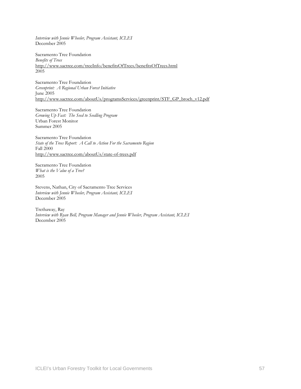*Interview with Jennie Wheeler, Program Assistant, ICLEI*  December 2005

Sacramento Tree Foundation *Benefits of Trees*  <http://www.sactree.com/treeInfo/benefitsOfTrees/benefitsOfTrees.html> 2005

Sacramento Tree Foundation *Greenprint: A Regional Urban Forest Initiative*  June 2005 [http://www.sactree.com/aboutUs/programsServices/greenprint/STF\\_GP\\_broch\\_v12.pdf](http://www.sactree.com/aboutUs/programsServices/greenprint/STF_GP_broch_v12.pdf)

Sacramento Tree Foundation *Growing Up Fast: The Seed to Seedling Program*  Urban Forest Monitor Summer 2005

Sacramento Tree Foundation *State of the Trees Report: A Call to Action For the Sacramento Region* Fall 2000 <http://www.sactree.com/aboutUs/state-of-trees.pdf>

Sacramento Tree Foundation *What is the Value of a Tree?*  2005

Stevens, Nathan, City of Sacramento Tree Services *Interview with Jennie Wheeler, Program Assistant, ICLEI*  December 2005

Trethaway, Ray *Interview with Ryan Bell, Program Manager and Jennie Wheeler, Program Assistant, ICLEI*  December 2005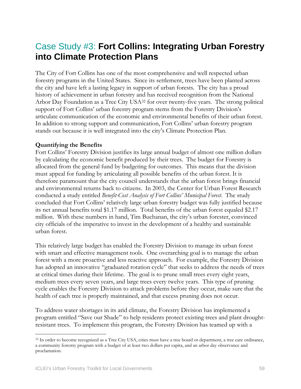## Case Study #3: **Fort Collins: Integrating Urban Forestry into Climate Protection Plans**

The City of Fort Collins has one of the most comprehensive and well respected urban forestry programs in the United States. Since its settlement, trees have been planted across the city and have left a lasting legacy in support of urban forests. The city has a proud history of achievement in urban forestry and has received recognition from the National Arbor Day Foundation as a Tree City US[A32](#page-58-0) for over twenty-five years. The strong political support of Fort Collins' urban forestry program stems from the Forestry Division's articulate communication of the economic and environmental benefits of their urban forest. In addition to strong support and communication, Fort Collins' urban forestry program stands out because it is well integrated into the city's Climate Protection Plan.

#### **Quantifying the Benefits**

Fort Collins' Forestry Division justifies its large annual budget of almost one million dollars by calculating the economic benefit produced by their trees. The budget for Forestry is allocated from the general fund by budgeting for outcomes. This means that the division must appeal for funding by articulating all possible benefits of the urban forest. It is therefore paramount that the city council understands that the urban forest brings financial and environmental returns back to citizens. In 2003, the Center for Urban Forest Research conducted a study entitled *Benefit-Cost Analysis of Fort Collins' Municipal Forest*. The study concluded that Fort Collins' relatively large urban forestry budget was fully justified because its net annual benefits total \$1.17 million. Total benefits of the urban forest equaled \$2.17 million. With these numbers in hand, Tim Buchanan, the city's urban forester, convinced city officials of the imperative to invest in the development of a healthy and sustainable urban forest.

This relatively large budget has enabled the Forestry Division to manage its urban forest with smart and effective management tools. One overarching goal is to manage the urban forest with a more proactive and less reactive approach. For example, the Forestry Division has adopted an innovative "graduated rotation cycle" that seeks to address the needs of trees at critical times during their lifetime. The goal is to prune small trees every eight years, medium trees every seven years, and large trees every twelve years. This type of pruning cycle enables the Forestry Division to attack problems before they occur, make sure that the health of each tree is properly maintained, and that excess pruning does not occur.

To address water shortages in its arid climate, the Forestry Division has implemented a program entitled "Save our Shade" to help residents protect existing trees and plant droughtresistant trees. To implement this program, the Forestry Division has teamed up with a

 $\overline{a}$ 

<span id="page-58-0"></span><sup>&</sup>lt;sup>32</sup> In order to become recognized as a Tree City USA, cities must have a tree board or department, a tree care ordinance, a community forestry program with a budget of at least two dollars per capita, and an arbor day observance and proclamation.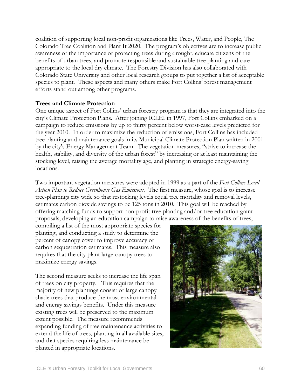coalition of supporting local non-profit organizations like Trees, Water, and People, The Colorado Tree Coalition and Plant It 2020. The program's objectives are to increase public awareness of the importance of protecting trees during drought, educate citizens of the benefits of urban trees, and promote responsible and sustainable tree planting and care appropriate to the local dry climate. The Forestry Division has also collaborated with Colorado State University and other local research groups to put together a list of acceptable species to plant. These aspects and many others make Fort Collins' forest management efforts stand out among other programs.

#### **Trees and Climate Protection**

One unique aspect of Fort Collins' urban forestry program is that they are integrated into the city's Climate Protection Plans. After joining ICLEI in 1997, Fort Collins embarked on a campaign to reduce emissions by up to thirty percent below worst-case levels predicted for the year 2010. In order to maximize the reduction of emissions, Fort Collins has included tree planting and maintenance goals in its Municipal Climate Protection Plan written in 2001 by the city's Energy Management Team. The vegetation measures, "strive to increase the health, stability, and diversity of the urban forest" by increasing or at least maintaining the stocking level, raising the average mortality age, and planting in strategic energy-saving locations.

Two important vegetation measures were adopted in 1999 as a part of the *[Fort Collins Local](http://fcgov.com/airquality/lap.php)  [Action Plan to Reduce Greenhouse Gas Emissions](http://fcgov.com/airquality/lap.php)*. The first measure, whose goal is to increase tree-plantings city wide so that restocking levels equal tree mortality and removal levels, estimates carbon dioxide savings to be 125 tons in 2010. This goal will be reached by offering matching funds to support non-profit tree planting and/or tree education grant proposals, developing an education campaign to raise awareness of the benefits of trees,

compiling a list of the most appropriate species for planting, and conducting a study to determine the percent of canopy cover to improve accuracy of carbon sequestration estimates. This measure also requires that the city plant large canopy trees to maximize energy savings.

The second measure seeks to increase the life span of trees on city property. This requires that the majority of new plantings consist of large canopy shade trees that produce the most environmental and energy savings benefits. Under this measure existing trees will be preserved to the maximum extent possible. The measure recommends expanding funding of tree maintenance activities to extend the life of trees, planting in all available sites, and that species requiring less maintenance be planted in appropriate locations.

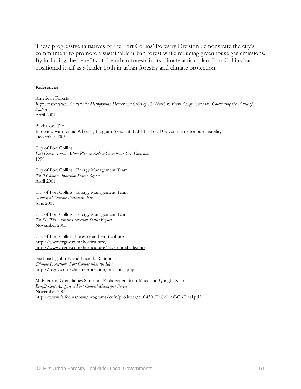These progressive initiatives of the Fort Collins' Forestry Division demonstrate the city's commitment to promote a sustainable urban forest while reducing greenhouse gas emissions. By including the benefits of the urban forests in its climate action plan, Fort Collins has positioned itself as a leader both in urban forestry and climate protection.

#### **References**

American Forests *Regional Ecosystem Analysis for Metropolitan Denver and Cities of The Northern Front Range, Colorado Calculating the Value of Nature*  April 2001

Buchanan, Tim Interview with Jennie Wheeler, Program Assistant, ICLEI – Local Governments for Sustainability December 2005

City of Fort Collins *Fort Collins Local Action Plan to [Reduce Greenhouse Gas Emissions](http://fcgov.com/airquality/lap.php)* 1999

City of Fort Collins: Energy Management Team *2000 Climate Protection Status Report*  April 2001

City of Fort Collins: Energy Management Team *Municipal Climate Protection Plan*  June 2001

City of Fort Collins: Energy Management Team *2003/2004 Climate Protection Status Report*  November 2005

City of Fort Collins, Forestry and Horticulture <http://www.fcgov.com/horticulture/> <http://www.fcgov.com/horticulture/save-our-shade.php>

Fischbach, John F. and Lucinda R. Smith *Climate Protection: Fort Collins likes the Idea*  <http://fcgov.com/climateprotection/pma-final.php>

McPherson, Greg, James Simpson, Paula Peper, Scott Maco and Qungfu Xiao *Benefit-Cost Analysis of Fort Collins' Municipal Forest*  November 2003 [http://www.fs.fed.us/psw/programs/cufr/products/cufr430\\_Ft.CollinsBCAFinal.pdf](http://www.fs.fed.us/psw/programs/cufr/products/cufr430_Ft.CollinsBCAFinal.pdf)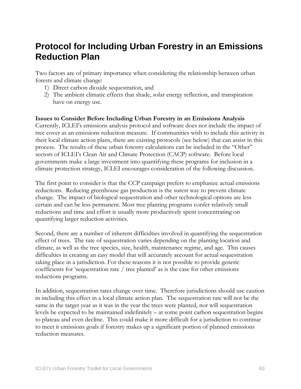## **Protocol for Including Urban Forestry in an Emissions Reduction Plan**

Two factors are of primary importance when considering the relationship between urban forests and climate change:

- 1) Direct carbon dioxide sequestration, and
- 2) The ambient climatic effects that shade, solar energy reflection, and transpiration have on energy use.

#### **Issues to Consider Before Including Urban Forestry in an Emissions Analysis**

Currently, ICLEI's emissions analysis protocol and software does not include the impact of tree cover as an emissions reduction measure. If communities wish to include this activity in their local climate action plans, there are existing protocols (see below) that can assist in this process. The results of these urban forestry calculations can be included in the "Other" sectors of ICLEI's Clean Air and Climate Protection (CACP) software. Before local governments make a large investment into quantifying these programs for inclusion in a climate protection strategy, ICLEI encourages consideration of the following discussion.

The first point to consider is that the CCP campaign prefers to emphasize actual emissions reductions. Reducing greenhouse gas production is the surest way to prevent climate change. The impact of biological sequestration and other technological options are less certain and can be less permanent. Most tree planting programs confer relatively small reductions and time and effort is usually more productively spent concentrating on quantifying larger reduction activities.

Second, there are a number of inherent difficulties involved in quantifying the sequestration effect of trees. The rate of sequestration varies depending on the planting location and climate, as well as the tree species, size, health, maintenance regime, and age. This causes difficulties in creating an easy model that will accurately account for actual sequestration taking place in a jurisdiction. For these reasons it is not possible to provide generic coefficients for 'sequestration rate / tree planted' as is the case for other emissions reductions programs.

In addition, sequestration rates change over time. Therefore jurisdictions should use caution in including this effect in a local climate action plan. The sequestration rate will not be the same in the target year as it was in the year the trees were planted, nor will sequestration levels be expected to be maintained indefinitely – at some point carbon sequestration begins to plateau and even decline. This could make it more difficult for a jurisdiction to continue to meet it emissions goals if forestry makes up a significant portion of planned emissions reduction measures.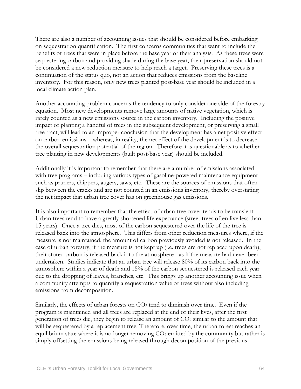There are also a number of accounting issues that should be considered before embarking on sequestration quantification. The first concerns communities that want to include the benefits of trees that were in place before the base year of their analysis. As these trees were sequestering carbon and providing shade during the base year, their preservation should not be considered a new reduction measure to help reach a target. Preserving these trees is a continuation of the status quo, not an action that reduces emissions from the baseline inventory. For this reason, only new trees planted post-base year should be included in a local climate action plan.

Another accounting problem concerns the tendency to only consider one side of the forestry equation. Most new developments remove large amounts of native vegetation, which is rarely counted as a new emissions source in the carbon inventory. Including the positive impact of planting a handful of trees in the subsequent development, or preserving a small tree tract, will lead to an improper conclusion that the development has a net positive effect on carbon emissions – whereas, in reality, the net effect of the development is to decrease the overall sequestration potential of the region. Therefore it is questionable as to whether tree planting in new developments (built post-base year) should be included.

Additionally it is important to remember that there are a number of emissions associated with tree programs – including various types of gasoline-powered maintenance equipment such as pruners, chippers, augers, saws, etc. These are the sources of emissions that often slip between the cracks and are not counted in an emissions inventory, thereby overstating the net impact that urban tree cover has on greenhouse gas emissions.

It is also important to remember that the effect of urban tree cover tends to be transient. Urban trees tend to have a greatly shortened life expectance (street trees often live less than 15 years). Once a tree dies, most of the carbon sequestered over the life of the tree is released back into the atmosphere. This differs from other reduction measures where, if the measure is not maintained, the amount of carbon previously avoided is not released. In the case of urban forestry, if the measure is not kept up (i.e. trees are not replaced upon death), their stored carbon is released back into the atmosphere - as if the measure had never been undertaken. Studies indicate that an urban tree will release 80% of its carbon back into the atmosphere within a year of death and 15% of the carbon sequestered is released each year due to the dropping of leaves, branches, etc. This brings up another accounting issue when a community attempts to quantify a sequestration value of trees without also including emissions from decomposition.

Similarly, the effects of urban forests on  $CO<sub>2</sub>$  tend to diminish over time. Even if the program is maintained and all trees are replaced at the end of their lives, after the first generation of trees die, they begin to release an amount of  $CO<sub>2</sub>$  similar to the amount that will be sequestered by a replacement tree. Therefore, over time, the urban forest reaches an equilibrium state where it is no longer removing  $CO<sub>2</sub>$  emitted by the community but rather is simply offsetting the emissions being released through decomposition of the previous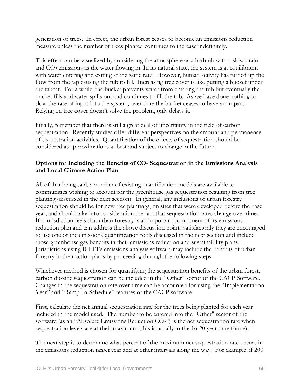generation of trees. In effect, the urban forest ceases to become an emissions reduction measure unless the number of trees planted continues to increase indefinitely.

This effect can be visualized by considering the atmosphere as a bathtub with a slow drain and  $CO<sub>2</sub>$  emissions as the water flowing in. In its natural state, the system is at equilibrium with water entering and exiting at the same rate. However, human activity has turned up the flow from the tap causing the tub to fill. Increasing tree cover is like putting a bucket under the faucet. For a while, the bucket prevents water from entering the tub but eventually the bucket fills and water spills out and continues to fill the tub. As we have done nothing to slow the rate of input into the system, over time the bucket ceases to have an impact. Relying on tree cover doesn't solve the problem, only delays it.

Finally, remember that there is still a great deal of uncertainty in the field of carbon sequestration. Recently studies offer different perspectives on the amount and permanence of sequestration activities. Quantification of the effects of sequestration should be considered as approximations at best and subject to change in the future.

#### **Options for Including the Benefits of CO2 Sequestration in the Emissions Analysis and Local Climate Action Plan**

All of that being said, a number of existing quantification models are available to communities wishing to account for the greenhouse gas sequestration resulting from tree planting (discussed in the next section). In general, any inclusions of urban forestry sequestration should be for new tree plantings, on sites that were developed before the base year, and should take into consideration the fact that sequestration rates change over time. If a jurisdiction feels that urban forestry is an important component of its emissions reduction plan and can address the above discussion points satisfactorily they are encouraged to use one of the emissions quantification tools discussed in the next section and include those greenhouse gas benefits in their emissions reduction and sustainability plans. Jurisdictions using ICLEI's emissions analysis software may include the benefits of urban forestry in their action plans by proceeding through the following steps.

Whichever method is chosen for quantifying the sequestration benefits of the urban forest, carbon dioxide sequestration can be included in the "Other" sector of the CACP Software. Changes in the sequestration rate over time can be accounted for using the "Implementation Year" and "Ramp-In-Schedule" features of the CACP software.

First, calculate the net annual sequestration rate for the trees being planted for each year included in the model used. The number to be entered into the "Other" sector of the software (as an "Absolute Emissions Reduction CO<sub>2</sub>") is the net sequestration rate when sequestration levels are at their maximum (this is usually in the 16-20 year time frame).

The next step is to determine what percent of the maximum net sequestration rate occurs in the emissions reduction target year and at other intervals along the way. For example, if 200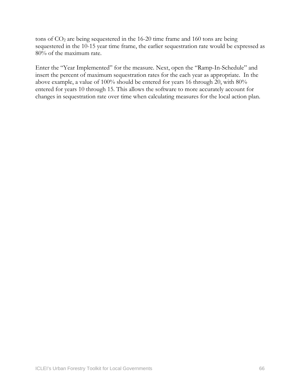tons of CO2 are being sequestered in the 16-20 time frame and 160 tons are being sequestered in the 10-15 year time frame, the earlier sequestration rate would be expressed as 80% of the maximum rate.

Enter the "Year Implemented" for the measure. Next, open the "Ramp-In-Schedule" and insert the percent of maximum sequestration rates for the each year as appropriate. In the above example, a value of 100% should be entered for years 16 through 20, with 80% entered for years 10 through 15. This allows the software to more accurately account for changes in sequestration rate over time when calculating measures for the local action plan.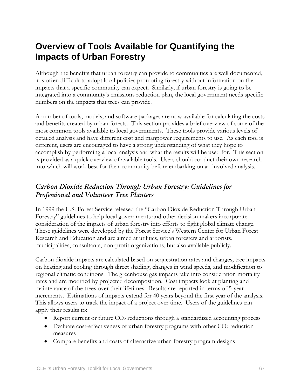## **Overview of Tools Available for Quantifying the Impacts of Urban Forestry**

Although the benefits that urban forestry can provide to communities are well documented, it is often difficult to adopt local policies promoting forestry without information on the impacts that a specific community can expect. Similarly, if urban forestry is going to be integrated into a community's emissions reduction plan, the local government needs specific numbers on the impacts that trees can provide.

A number of tools, models, and software packages are now available for calculating the costs and benefits created by urban forests. This section provides a brief overview of some of the most common tools available to local governments. These tools provide various levels of detailed analysis and have different cost and manpower requirements to use. As each tool is different, users are encouraged to have a strong understanding of what they hope to accomplish by performing a local analysis and what the results will be used for. This section is provided as a quick overview of available tools. Users should conduct their own research into which will work best for their community before embarking on an involved analysis.

## *Carbon Dioxide Reduction Through Urban Forestry: Guidelines for Professional and Volunteer Tree Planters*

In 1999 the U.S. Forest Service released the "Carbon Dioxide Reduction Through Urban Forestry" guidelines to help local governments and other decision makers incorporate consideration of the impacts of urban forestry into efforts to fight global climate change. These guidelines were developed by the Forest Service's Western Center for Urban Forest Research and Education and are aimed at utilities, urban foresters and arborists, municipalities, consultants, non-profit organizations, but also available publicly.

Carbon dioxide impacts are calculated based on sequestration rates and changes, tree impacts on heating and cooling through direct shading, changes in wind speeds, and modification to regional climatic conditions. The greenhouse gas impacts take into consideration mortality rates and are modified by projected decomposition. Cost impacts look at planting and maintenance of the trees over their lifetimes. Results are reported in terms of 5-year increments. Estimations of impacts extend for 40 years beyond the first year of the analysis. This allows users to track the impact of a project over time. Users of the guidelines can apply their results to:

- Report current or future  $CO<sub>2</sub>$  reductions through a standardized accounting process
- Evaluate cost-effectiveness of urban forestry programs with other  $CO<sub>2</sub>$  reduction measures
- Compare benefits and costs of alternative urban forestry program designs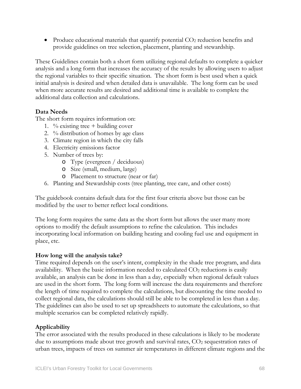• Produce educational materials that quantify potential  $CO<sub>2</sub>$  reduction benefits and provide guidelines on tree selection, placement, planting and stewardship.

These Guidelines contain both a short form utilizing regional defaults to complete a quicker analysis and a long form that increases the accuracy of the results by allowing users to adjust the regional variables to their specific situation. The short form is best used when a quick initial analysis is desired and when detailed data is unavailable. The long form can be used when more accurate results are desired and additional time is available to complete the additional data collection and calculations.

#### **Data Needs**

The short form requires information on:

- 1. % existing tree + building cover
- 2. % distribution of homes by age class
- 3. Climate region in which the city falls
- 4. Electricity emissions factor
- 5. Number of trees by:
	- o Type (evergreen / deciduous)
	- o Size (small, medium, large)
	- o Placement to structure (near or far)
- 6. Planting and Stewardship costs (tree planting, tree care, and other costs)

The guidebook contains default data for the first four criteria above but those can be modified by the user to better reflect local conditions.

The long form requires the same data as the short form but allows the user many more options to modify the default assumptions to refine the calculation. This includes incorporating local information on building heating and cooling fuel use and equipment in place, etc.

#### **How long will the analysis take?**

Time required depends on the user's intent, complexity in the shade tree program, and data availability. When the basic information needed to calculated  $CO<sub>2</sub>$  reductions is easily available, an analysis can be done in less than a day, especially when regional default values are used in the short form. The long form will increase the data requirements and therefore the length of time required to complete the calculations, but discounting the time needed to collect regional data, the calculations should still be able to be completed in less than a day. The guidelines can also be used to set up spreadsheets to automate the calculations, so that multiple scenarios can be completed relatively rapidly.

#### **Applicability**

The error associated with the results produced in these calculations is likely to be moderate due to assumptions made about tree growth and survival rates,  $CO<sub>2</sub>$  sequestration rates of urban trees, impacts of trees on summer air temperatures in different climate regions and the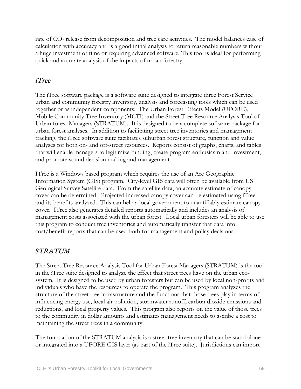rate of CO2 release from decomposition and tree care activities. The model balances ease of calculation with accuracy and is a good initial analysis to return reasonable numbers without a huge investment of time or requiring advanced software. This tool is ideal for performing quick and accurate analysis of the impacts of urban forestry.

### *iTree*

The iTree software package is a software suite designed to integrate three Forest Service urban and community forestry inventory, analysis and forecasting tools which can be used together or as independent components: The Urban Forest Effects Model (UFORE), Mobile Community Tree Inventory (MCTI) and the Street Tree Resource Analysis Tool of Urban forest Managers (STRATUM). It is designed to be a complete software package for urban forest analyses. In addition to facilitating street tree inventories and management tracking, the iTree software suite facilitates suburban forest structure, function and value analyses for both on- and off-street resources. Reports consist of graphs, charts, and tables that will enable managers to legitimize funding, create program enthusiasm and investment, and promote sound decision making and management.

ITree is a Windows based program which requires the use of an Arc Geographic Information System (GIS) program. City-level GIS data will often be available from US Geological Survey Satellite data. From the satellite data, an accurate estimate of canopy cover can be determined. Projected increased canopy cover can be estimated using iTree and its benefits analyzed. This can help a local government to quantifiably estimate canopy cover. ITree also generates detailed reports automatically and includes an analysis of management costs associated with the urban forest. Local urban foresters will be able to use this program to conduct tree inventories and automatically transfer that data into cost/benefit reports that can be used both for management and policy decisions.

### *STRATUM*

The Street Tree Resource Analysis Tool for Urban Forest Managers (STRATUM) is the tool in the iTree suite designed to analyze the effect that street trees have on the urban ecosystem. It is designed to be used by urban foresters but can be used by local non-profits and individuals who have the resources to operate the program. This program analyzes the structure of the street tree infrastructure and the functions that those trees play in terms of influencing energy use, local air pollution, stormwater runoff, carbon dioxide emissions and reductions, and local property values. This program also reports on the value of those trees to the community in dollar amounts and estimates management needs to ascribe a cost to maintaining the street trees in a community.

The foundation of the STRATUM analysis is a street tree inventory that can be stand alone or integrated into a UFORE GIS layer (as part of the iTree suite). Jurisdictions can import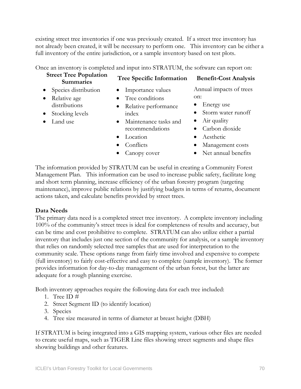existing street tree inventories if one was previously created. If a street tree inventory has not already been created, it will be necessary to perform one. This inventory can be either a full inventory of the entire jurisdiction, or a sample inventory based on test plots.

Once an inventory is completed and input into STRATUM, the software can report on:

# **Street Tree Population**

## **Summaries Tree Specific Information Benefit-Cost Analysis**

- Species distribution • Relative age
- distributions
- Stocking levels
- Land use
- Importance values
- Tree conditions
- Relative performance index
- Maintenance tasks and recommendations
- Location
- Conflicts
- Canopy cover
- Annual impacts of trees
- on: • Energy use
- Storm water runoff
- Air quality
- Carbon dioxide
- Aesthetic
- Management costs
- Net annual benefits

The information provided by STRATUM can be useful in creating a Community Forest Management Plan. This information can be used to increase public safety, facilitate long and short term planning, increase efficiency of the urban forestry program (targeting maintenance), improve public relations by justifying budgets in terms of returns, document actions taken, and calculate benefits provided by street trees.

### **Data Needs**

The primary data need is a completed street tree inventory. A complete inventory including 100% of the community's street trees is ideal for completeness of results and accuracy, but can be time and cost prohibitive to complete. STRATUM can also utilize either a partial inventory that includes just one section of the community for analysis, or a sample inventory that relies on randomly selected tree samples that are used for interpretation to the community scale. These options range from fairly time involved and expensive to compete (full inventory) to fairly cost-effective and easy to complete (sample inventory). The former provides information for day-to-day management of the urban forest, but the latter are adequate for a rough planning exercise.

Both inventory approaches require the following data for each tree included:

- 1. Tree ID #
- 2. Street Segment ID (to identify location)
- 3. Species
- 4. Tree size measured in terms of diameter at breast height (DBH)

If STRATUM is being integrated into a GIS mapping system, various other files are needed to create useful maps, such as TIGER Line files showing street segments and shape files showing buildings and other features.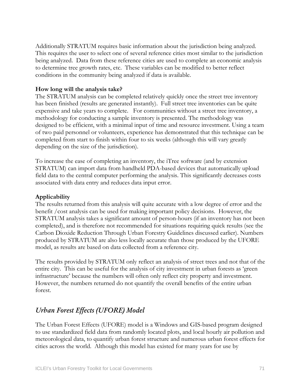Additionally STRATUM requires basic information about the jurisdiction being analyzed. This requires the user to select one of several reference cities most similar to the jurisdiction being analyzed. Data from these reference cities are used to complete an economic analysis to determine tree growth rates, etc. These variables can be modified to better reflect conditions in the community being analyzed if data is available.

#### **How long will the analysis take?**

The STRATUM analysis can be completed relatively quickly once the street tree inventory has been finished (results are generated instantly). Full street tree inventories can be quite expensive and take years to complete. For communities without a street tree inventory, a methodology for conducting a sample inventory is presented. The methodology was designed to be efficient, with a minimal input of time and resource investment. Using a team of two paid personnel or volunteers, experience has demonstrated that this technique can be completed from start to finish within four to six weeks (although this will vary greatly depending on the size of the jurisdiction).

To increase the ease of completing an inventory, the iTree software (and by extension STRATUM) can import data from handheld PDA-based devices that automatically upload field data to the central computer performing the analysis. This significantly decreases costs associated with data entry and reduces data input error.

#### **Applicability**

The results returned from this analysis will quite accurate with a low degree of error and the benefit /cost analysis can be used for making important policy decisions. However, the STRATUM analysis takes a significant amount of person-hours (if an inventory has not been completed), and is therefore not recommended for situations requiring quick results (see the Carbon Dioxide Reduction Through Urban Forestry Guidelines discussed earlier). Numbers produced by STRATUM are also less locally accurate than those produced by the UFORE model, as results are based on data collected from a reference city.

The results provided by STRATUM only reflect an analysis of street trees and not that of the entire city. This can be useful for the analysis of city investment in urban forests as 'green infrastructure' because the numbers will often only reflect city property and investment. However, the numbers returned do not quantify the overall benefits of the entire urban forest.

## *Urban Forest Effects (UFORE) Model*

The Urban Forest Effects (UFORE) model is a Windows and GIS-based program designed to use standardized field data from randomly located plots, and local hourly air pollution and meteorological data, to quantify urban forest structure and numerous urban forest effects for cities across the world. Although this model has existed for many years for use by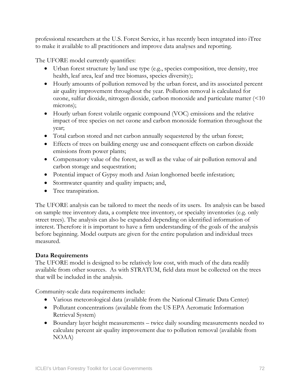professional researchers at the U.S. Forest Service, it has recently been integrated into iTree to make it available to all practitioners and improve data analyses and reporting.

The UFORE model currently quantifies:

- Urban forest structure by land use type (e.g., species composition, tree density, tree health, leaf area, leaf and tree biomass, species diversity);
- Hourly amounts of pollution removed by the urban forest, and its associated percent air quality improvement throughout the year. Pollution removal is calculated for ozone, sulfur dioxide, nitrogen dioxide, carbon monoxide and particulate matter (<10 microns);
- Hourly urban forest volatile organic compound (VOC) emissions and the relative impact of tree species on net ozone and carbon monoxide formation throughout the year;
- Total carbon stored and net carbon annually sequestered by the urban forest;
- Effects of trees on building energy use and consequent effects on carbon dioxide emissions from power plants;
- Compensatory value of the forest, as well as the value of air pollution removal and carbon storage and sequestration;
- Potential impact of Gypsy moth and Asian longhorned beetle infestation;
- Stormwater quantity and quality impacts; and,
- Tree transpiration.

The UFORE analysis can be tailored to meet the needs of its users. Its analysis can be based on sample tree inventory data, a complete tree inventory, or specialty inventories (e.g. only street trees). The analysis can also be expanded depending on identified information of interest. Therefore it is important to have a firm understanding of the goals of the analysis before beginning. Model outputs are given for the entire population and individual trees measured.

### **Data Requirements**

The UFORE model is designed to be relatively low cost, with much of the data readily available from other sources. As with STRATUM, field data must be collected on the trees that will be included in the analysis.

Community-scale data requirements include:

- Various meteorological data (available from the National Climatic Data Center)
- Pollutant concentrations (available from the US EPA Aeromatic Information Retrieval System)
- Boundary layer height measurements twice daily sounding measurements needed to calculate percent air quality improvement due to pollution removal (available from NOAA)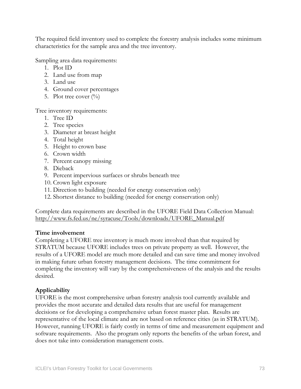The required field inventory used to complete the forestry analysis includes some minimum characteristics for the sample area and the tree inventory.

Sampling area data requirements:

- 1. Plot ID
- 2. Land use from map
- 3. Land use
- 4. Ground cover percentages
- 5. Plot tree cover  $(\%)$

Tree inventory requirements:

- 1. Tree ID
- 2. Tree species
- 3. Diameter at breast height
- 4. Total height
- 5. Height to crown base
- 6. Crown width
- 7. Percent canopy missing
- 8. Dieback
- 9. Percent impervious surfaces or shrubs beneath tree
- 10. Crown light exposure
- 11. Direction to building (needed for energy conservation only)
- 12. Shortest distance to building (needed for energy conservation only)

Complete data requirements are described in the UFORE Field Data Collection Manual: [http://www.fs.fed.us/ne/syracuse/Tools/downloads/UFORE\\_Manual.pdf](http://www.fs.fed.us/ne/syracuse/Tools/downloads/UFORE_Manual.pdf)

#### **Time involvement**

Completing a UFORE tree inventory is much more involved than that required by STRATUM because UFORE includes trees on private property as well. However, the results of a UFORE model are much more detailed and can save time and money involved in making future urban forestry management decisions. The time commitment for completing the inventory will vary by the comprehensiveness of the analysis and the results desired.

### **Applicability**

UFORE is the most comprehensive urban forestry analysis tool currently available and provides the most accurate and detailed data results that are useful for management decisions or for developing a comprehensive urban forest master plan. Results are representative of the local climate and are not based on reference cities (as in STRATUM). However, running UFORE is fairly costly in terms of time and measurement equipment and software requirements. Also the program only reports the benefits of the urban forest, and does not take into consideration management costs.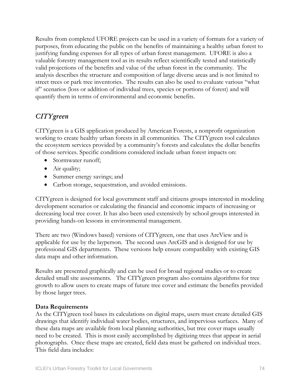Results from completed UFORE projects can be used in a variety of formats for a variety of purposes, from educating the public on the benefits of maintaining a healthy urban forest to justifying funding expenses for all types of urban forest management. UFORE is also a valuable forestry management tool as its results reflect scientifically tested and statistically valid projections of the benefits and value of the urban forest in the community. The analysis describes the structure and composition of large diverse areas and is not limited to street trees or park tree inventories. The results can also be used to evaluate various "what if" scenarios (loss or addition of individual trees, species or portions of forest) and will quantify them in terms of environmental and economic benefits.

## *CITYgreen*

CITYgreen is a GIS application produced by American Forests, a nonprofit organization working to create healthy urban forests in all communities. The CITYgreen tool calculates the ecosystem services provided by a community's forests and calculates the dollar benefits of those services. Specific conditions considered include urban forest impacts on:

- Stormwater runoff;
- Air quality;
- Summer energy savings; and
- Carbon storage, sequestration, and avoided emissions.

CITYgreen is designed for local government staff and citizens groups interested in modeling development scenarios or calculating the financial and economic impacts of increasing or decreasing local tree cover. It has also been used extensively by school groups interested in providing hands-on lessons in environmental management.

There are two (Windows based) versions of CITYgreen, one that uses ArcView and is applicable for use by the layperson. The second uses ArcGIS and is designed for use by professional GIS departments. These versions help ensure compatibility with existing GIS data maps and other information.

Results are presented graphically and can be used for broad regional studies or to create detailed small site assessments. The CITYgreen program also contains algorithms for tree growth to allow users to create maps of future tree cover and estimate the benefits provided by those larger trees.

#### **Data Requirements**

As the CITYgreen tool bases its calculations on digital maps, users must create detailed GIS drawings that identify individual water bodies, structures, and impervious surfaces. Many of these data maps are available from local planning authorities, but tree cover maps usually need to be created. This is most easily accomplished by digitizing trees that appear in aerial photographs. Once these maps are created, field data must be gathered on individual trees. This field data includes: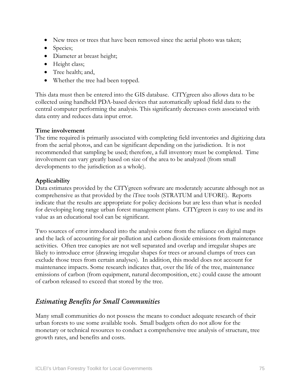- New trees or trees that have been removed since the aerial photo was taken;
- Species;
- Diameter at breast height;
- Height class;
- Tree health; and,
- Whether the tree had been topped.

This data must then be entered into the GIS database. CITYgreen also allows data to be collected using handheld PDA-based devices that automatically upload field data to the central computer performing the analysis. This significantly decreases costs associated with data entry and reduces data input error.

#### **Time involvement**

The time required is primarily associated with completing field inventories and digitizing data from the aerial photos, and can be significant depending on the jurisdiction. It is not recommended that sampling be used; therefore, a full inventory must be completed. Time involvement can vary greatly based on size of the area to be analyzed (from small developments to the jurisdiction as a whole).

#### **Applicability**

Data estimates provided by the CITYgreen software are moderately accurate although not as comprehensive as that provided by the iTree tools (STRATUM and UFORE). Reports indicate that the results are appropriate for policy decisions but are less than what is needed for developing long range urban forest management plans. CITYgreen is easy to use and its value as an educational tool can be significant.

Two sources of error introduced into the analysis come from the reliance on digital maps and the lack of accounting for air pollution and carbon dioxide emissions from maintenance activities. Often tree canopies are not well separated and overlap and irregular shapes are likely to introduce error (drawing irregular shapes for trees or around clumps of trees can exclude those trees from certain analyses). In addition, this model does not account for maintenance impacts. Some research indicates that, over the life of the tree, maintenance emissions of carbon (from equipment, natural decomposition, etc.) could cause the amount of carbon released to exceed that stored by the tree.

## *Estimating Benefits for Small Communities*

Many small communities do not possess the means to conduct adequate research of their urban forests to use some available tools. Small budgets often do not allow for the monetary or technical resources to conduct a comprehensive tree analysis of structure, tree growth rates, and benefits and costs.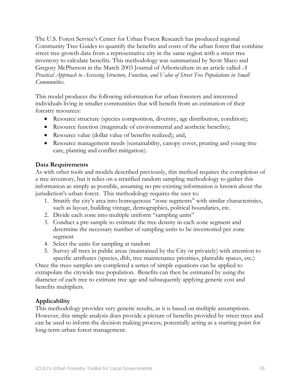The U.S. Forest Service's Center for Urban Forest Research has produced regional Community Tree Guides to quantify the benefits and costs of the urban forest that combine street tree growth data from a representative city in the same region with a street tree inventory to calculate benefits. This methodology was summarized by Scott Maco and Gregory McPherson in the March 2003 Journal of Arboriculture in an article called *A Practical Approach to Assessing Structure, Function, and Value of Street Tree Populations in Small Communities*.

This model produces the following information for urban foresters and interested individuals living in smaller communities that will benefit from an estimation of their forestry resources:

- Resource structure (species composition, diversity, age distribution, condition);
- Resource function (magnitude of environmental and aesthetic benefits);
- Resource value (dollar value of benefits realized); and,
- Resource management needs (sustainability, canopy cover, pruning and young tree care, planting and conflict mitigation).

#### **Data Requirements**

As with other tools and models described previously, this method requires the completion of a tree inventory, but it relies on a stratified random sampling methodology to gather this information as simply as possible, assuming no pre-existing information is known about the jurisdiction's urban forest. This methodology requires the user to:

- 1. Stratify the city's area into homogenous "zone segments" with similar characteristics, such as layout, building vintage, demographics, political boundaries, etc.
- 2. Divide each zone into multiple uniform "sampling units"
- 3. Conduct a pre-sample to estimate the tree density in each zone segment and determine the necessary number of sampling units to be inventoried per zone segment
- 4. Select the units for sampling at random
- 5. Survey all trees in public areas (maintained by the City or privately) with attention to specific attributes (species, dbh, tree maintenance priorities, plantable spaces, etc.)

Once the trees samples are completed a series of simple equations can be applied to extrapolate the citywide tree population. Benefits can then be estimated by using the diameter of each tree to estimate tree age and subsequently applying generic cost and benefits multipliers.

### **Applicability**

This methodology provides very generic results, as it is based on multiple assumptions. However, this simple analysis does provide a picture of benefits provided by street trees and can be used to inform the decision making process, potentially acting as a starting point for long-term urban forest management.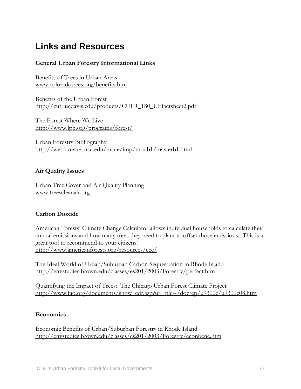# **Links and Resources**

#### **General Urban Forestry Informational Links**

Benefits of Trees in Urban Areas [www.coloradotrees.org/benefits.htm](http://www.coloradotrees.org/benefits.htm)

Benefits of the Urban Forest [http://cufr.ucdavis.edu/products/CUFR\\_180\\_UFfactsheet2.pdf](http://cufr.ucdavis.edu/products/CUFR_180_UFfactsheet2.pdf)

The Forest Where We Live <http://www.lpb.org/programs/forest/>

Urban Forestry Bibliography <http://web1.msue.msu.edu/msue/imp/modb1/masterb1.html>

#### **Air Quality Issues**

Urban Tree Cover and Air Quality Planning [www.treescleanair.org](http://www.treescleanair.org/)

#### **Carbon Dioxide**

American Forests' Climate Change Calculator allows individual households to calculate their annual emissions and how many trees they need to plant to offset those emissions. This is a great tool to recommend to your citizens! <http://www.americanforests.org/resources/ccc/>

The Ideal World of Urban/Suburban Carbon Sequestration in Rhode Island <http://envstudies.brown.edu/classes/es201/2003/Forestry/perfect.htm>

Quantifying the Impact of Trees: The Chicago Urban Forest Climate Project [http://www.fao.org/documents/show\\_cdr.asp?url\\_file=/docrep/u9300e/u9300e08.htm](http://www.fao.org/documents/show_cdr.asp?url_file=/docrep/u9300e/u9300e08.htm)

#### **Economics**

Economic Benefits of Urban/Suburban Forestry in Rhode Island <http://envstudies.brown.edu/classes/es201/2003/Forestry/econbene.htm>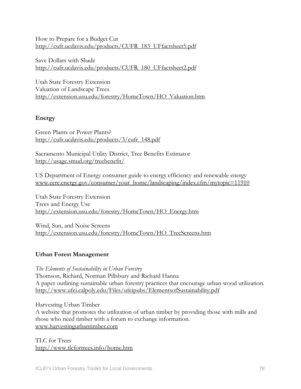How to Prepare for a Budget Cut [http://cufr.ucdavis.edu/products/CUFR\\_183\\_UFfactsheet5.pdf](http://cufr.ucdavis.edu/products/CUFR_183_UFfactsheet5.pdf)

Save Dollars with Shade [http://cufr.ucdavis.edu/products/CUFR\\_180\\_UFfactsheet2.pdf](http://cufr.ucdavis.edu/products/CUFR_180_UFfactsheet2.pdf)

Utah State Forestry Extension Valuation of Landscape Trees [http://extension.usu.edu/forestry/HomeTown/HO\\_Valuation.htm](http://extension.usu.edu/forestry/HomeTown/HO_Valuation.htm)

#### **Energy**

Green Plants or Power Plants? [http://cufr.ucdavis.edu/products/3/cufr\\_148.pdf](http://cufr.ucdavis.edu/products/3/cufr_148.pdf)

Sacramento Municipal Utility District, Tree Benefits Estimator <http://usage.smud.org/treebenefit/>

US Department of Energy consumer guide to energy efficiency and renewable energy [www.eere.energy.gov/consumer/your\\_home/landscaping/index.cfm/mytopic=11910](http://www.eere.energy.gov/consumer/your_home/landscaping/index.cfm/mytopic=11910)

Utah State Forestry Extension Trees and Energy Use [http://extension.usu.edu/forestry/HomeTown/HO\\_Energy.htm](http://extension.usu.edu/forestry/HomeTown/HO_Energy.htm)

Wind, Sun, and Noise Screens [http://extension.usu.edu/forestry/HomeTown/HO\\_TreeScreens.htm](http://extension.usu.edu/forestry/HomeTown/HO_TreeScreens.htm)

#### **Urban Forest Management**

*The Elements of Sustainability in Urban Forestry*  Thomson, Richard, Norman Pillsbury and Richard Hanna A paper outlining sustainable urban forestry practices that encourage urban wood utilization. <http://www.ufei.calpoly.edu/Files/ufeipubs/ElementsofSustainability.pdf>

Harvesting Urban Timber A website that promotes the utilization of urban timber by providing those with mills and those who need timber with a forum to exchange information. [www.harvestingurbantimber.com](http://www.harvestingurbantimber.com/)

TLC for Trees <http://www.tlcfortrees.info/home.htm>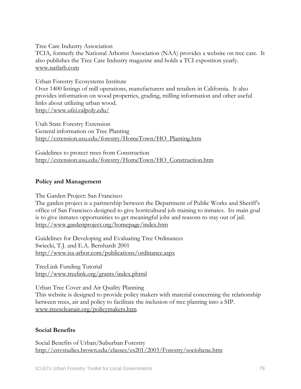Tree Care Industry Association

TCIA, formerly the National Arborist Association (NAA) provides a website on tree care. It also publishes the Tree Care Industry magazine and holds a TCI exposition yearly. [www.natlarb.com](http://www.natlarb.com/)

Urban Forestry Ecosystems Institute

Over 1400 listings of mill operations, manufacturers and retailers in California. It also provides information on wood properties, grading, milling information and other useful links about utilizing urban wood. <http://www.ufei.calpoly.edu/>

Utah State Forestry Extension General information on Tree Planting [http://extension.usu.edu/forestry/HomeTown/HO\\_Planting.htm](http://extension.usu.edu/forestry/HomeTown/HO_Planting.htm)

Guidelines to protect trees from Construction [http://extension.usu.edu/forestry/HomeTown/HO\\_Construction.htm](http://extension.usu.edu/forestry/HomeTown/HO_Construction.htm)

#### **Policy and Management**

The Garden Project: San Francisco

The garden project is a partnership between the Department of Public Works and Sheriff's office of San Francisco designed to give horticultural job training to inmates. Its main goal is to give inmates opportunities to get meaningful jobs and reasons to stay out of jail. <http://www.gardenproject.org/homepage/index.htm>

Guidelines for Developing and Evaluating Tree Ordinances Swiecki, T.J. and E.A. Bernhardt 2001 <http://www.isa-arbor.com/publications/ordinance.aspx>

TreeLink Funding Tutorial <http://www.treelink.org/grants/index.phtml>

Urban Tree Cover and Air Quality Planning This website is designed to provide policy makers with material concerning the relationship between trees, air and policy to facilitate the inclusion of tree planting into a SIP. [www.treescleanair.org/policymakers.htm](http://www.treescleanair.org/policymakers.htm)

#### **Social Benefits**

Social Benefits of Urban/Suburban Forestry <http://envstudies.brown.edu/classes/es201/2003/Forestry/sociobene.htm>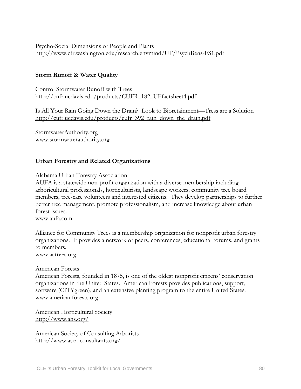#### Psycho-Social Dimensions of People and Plants <http://www.cfr.washington.edu/research.envmind/UF/PsychBens-FS1.pdf>

#### **Storm Runoff & Water Quality**

Control Stormwater Runoff with Trees [http://cufr.ucdavis.edu/products/CUFR\\_182\\_UFfactsheet4.pdf](http://cufr.ucdavis.edu/products/CUFR_182_UFfactsheet4.pdf)

Is All Your Rain Going Down the Drain? Look to Bioretainment—Tress are a Solution [http://cufr.ucdavis.edu/products/cufr\\_392\\_rain\\_down\\_the\\_drain.pdf](http://cufr.ucdavis.edu/products/cufr_392_rain_down_the_drain.pdf)

StormwaterAuthority.org [www.stormwaterauthority.org](http://www.stormwaterauthority.org/)

#### **Urban Forestry and Related Organizations**

Alabama Urban Forestry Association

AUFA is a statewide non-profit organization with a diverse membership including arboricultural professionals, horticulturists, landscape workers, community tree board members, tree-care volunteers and interested citizens. They develop partnerships to further better tree management, promote professionalism, and increase knowledge about urban forest issues.

#### [www.aufa.com](http://www.aufa.com/)

Alliance for Community Trees is a membership organization for nonprofit urban forestry organizations. It provides a network of peers, conferences, educational forums, and grants to members.

#### [www.actrees.org](http://www.actrees.org/)

#### American Forests

American Forests, founded in 1875, is one of the oldest nonprofit citizens' conservation organizations in the United States. American Forests provides publications, support, software (CITYgreen), and an extensive planting program to the entire United States. [www.americanforests.org](http://www.americanforests.org/)

American Horticultural Society <http://www.ahs.org/>

American Society of Consulting Arborists <http://www.asca-consultants.org/>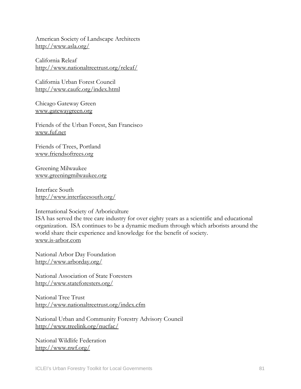American Society of Landscape Architects <http://www.asla.org/>

California Releaf <http://www.nationaltreetrust.org/releaf/>

California Urban Forest Council <http://www.caufc.org/index.html>

Chicago Gateway Green [www.gatewaygreen.org](http://www.gatewaygreen.org/)

Friends of the Urban Forest, San Francisco [www.fuf.net](http://www.fuf.net/)

Friends of Trees, Portland [www.friendsoftrees.org](http://www.friendsoftrees.org/)

Greening Milwaukee [www.greeningmilwaukee.org](http://www.greeningmilwaukee.org/)

Interface South <http://www.interfacesouth.org/>

#### International Society of Arboriculture

ISA has served the tree care industry for over eighty years as a scientific and educational organization. ISA continues to be a dynamic medium through which arborists around the world share their experience and knowledge for the benefit of society. [www.is-arbor.com](http://www.is-arbor.com/)

National Arbor Day Foundation <http://www.arborday.org/>

National Association of State Foresters <http://www.stateforesters.org/>

National Tree Trust <http://www.nationaltreetrust.org/index.cfm>

National Urban and Community Forestry Advisory Council <http://www.treelink.org/nucfac/>

National Wildlife Federation <http://www.nwf.org/>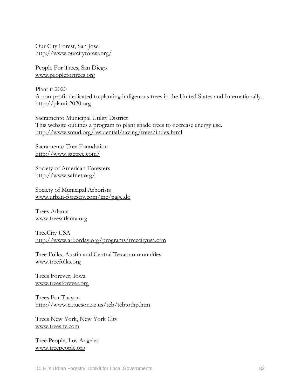Our City Forest, San Jose <http://www.ourcityforest.org/>

People For Trees, San Diego [www.peoplefortrees.org](http://www.peoplefortrees.org/)

Plant it 2020 A non-profit dedicated to planting indigenous trees in the United States and Internationally. [http://plantit2020.org](http://plantit2020.org/)

Sacramento Municipal Utility District This website outlines a program to plant shade trees to decrease energy use. <http://www.smud.org/residential/saving/trees/index.html>

Sacramento Tree Foundation <http://www.sactree.com/>

Society of American Foresters <http://www.safnet.org/>

Society of Municipal Arborists [www.urban-forestry.com/mc/page.do](http://www.urban-forestry.com/mc/page.do)

Trees Atlanta [www.treesatlanta.org](http://www.treesatlanta.org/)

TreeCity USA <http://www.arborday.org/programs/treecityusa.cfm>

Tree Folks, Austin and Central Texas communities [www.treefolks.org](http://www.treefolks.org/)

Trees Forever, Iowa [www.treesforever.org](http://www.treesforever.org/)

Trees For Tucson <http://www.ci.tucson.az.us/tcb/tcbtothp.htm>

Trees New York, New York City [www.treesny.com](http://www.treesny.com/)

Tree People, Los Angeles [www.treepeople.org](http://www.treepeople.org/)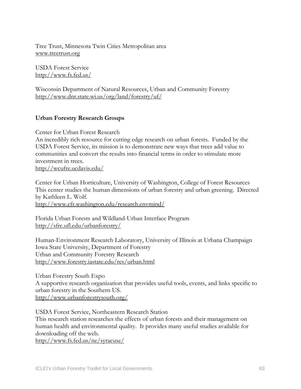Tree Trust, Minnesota Twin Cities Metropolitan area [www.treetrust.org](http://www.treetrust.org/)

USDA Forest Service <http://www.fs.fed.us/>

Wisconsin Department of Natural Resources, Urban and Community Forestry <http://www.dnr.state.wi.us/org/land/forestry/uf/>

#### **Urban Forestry Research Groups**

Center for Urban Forest Research

An incredibly rich resource for cutting edge research on urban forests. Funded by the USDA Forest Service, its mission is to demonstrate new ways that trees add value to communities and convert the results into financial terms in order to stimulate more investment in trees.

<http://wcufre.ucdavis.edu/>

Center for Urban Horticulture, University of Washington, College of Forest Resources This center studies the human dimensions of urban forestry and urban greening. Directed by Kathleen L. Wolf. <http://www.cfr.washington.edu/research.envmind/>

Florida Urban Forests and Wildland-Urban Interface Program <http://sfrc.ufl.edu/urbanforestry/>

Human-Environment Research Laboratory, University of Illinois at Urbana Champaign Iowa State University, Department of Forestry Urban and Community Forestry Research <http://www.forestry.iastate.edu/res/urban.html>

Urban Forestry South Expo A supportive research organization that provides useful tools, events, and links specific to urban forestry in the Southern US. <http://www.urbanforestrysouth.org/>

USDA Forest Service, Northeastern Research Station

This research station researches the effects of urban forests and their management on human health and environmental quality. It provides many useful studies available for downloading off the web.

<http://www.fs.fed.us/ne/syracuse/>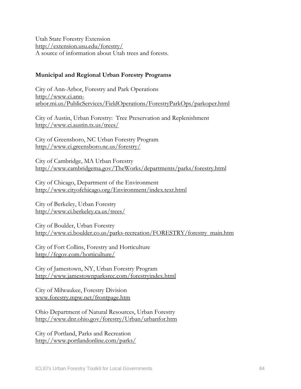Utah State Forestry Extension <http://extension.usu.edu/forestry/> A source of information about Utah trees and forests.

#### **Municipal and Regional Urban Forestry Programs**

City of Ann-Arbor, Forestry and Park Operations [http://www.ci.ann](http://www.ci.ann-arbor.mi.us/PublicServices/FieldOperations/ForestryParkOps/parkoper.html)[arbor.mi.us/PublicServices/FieldOperations/ForestryParkOps/parkoper.html](http://www.ci.ann-arbor.mi.us/PublicServices/FieldOperations/ForestryParkOps/parkoper.html)

City of Austin, Urban Forestry: Tree Preservation and Replenishment <http://www.ci.austin.tx.us/trees/>

City of Greensboro, NC Urban Forestry Program <http://www.ci.greensboro.nc.us/forestry/>

City of Cambridge, MA Urban Forestry <http://www.cambridgema.gov/TheWorks/departments/parks/forestry.html>

City of Chicago, Department of the Environment <http://www.cityofchicago.org/Environment/index.text.html>

City of Berkeley, Urban Forestry <http://www.ci.berkeley.ca.us/trees/>

City of Boulder, Urban Forestry [http://www.ci.boulder.co.us/parks-recreation/FORESTRY/forestry\\_main.htm](http://www.ci.boulder.co.us/parks-recreation/FORESTRY/forestry_main.htm)

City of Fort Collins, Forestry and Horticulture <http://fcgov.com/horticulture/>

City of Jamestown, NY, Urban Forestry Program <http://www.jamestownparksrec.com/forestryindex.html>

City of Milwaukee, Forestry Division [www.forestry.mpw.net/frontpage.htm](http://www.forestry.mpw.net/frontpage.htm)

Ohio Department of Natural Resources, Urban Forestry <http://www.dnr.ohio.gov/forestry/Urban/urbanfor.htm>

City of Portland, Parks and Recreation <http://www.portlandonline.com/parks/>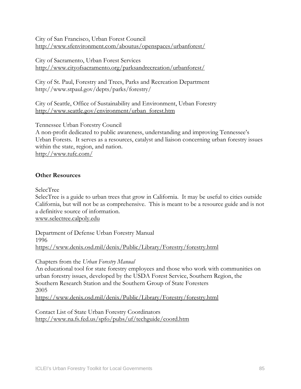City of San Francisco, Urban Forest Council <http://www.sfenvironment.com/aboutus/openspaces/urbanforest/>

City of Sacramento, Urban Forest Services <http://www.cityofsacramento.org/parksandrecreation/urbanforest/>

City of St. Paul, Forestry and Trees, Parks and Recreation Department http://www.stpaul.gov/depts/parks/forestry/

City of Seattle, Office of Sustainability and Environment, Urban Forestry [http://www.seattle.gov/environment/urban\\_forest.htm](http://www.seattle.gov/environment/urban_forest.htm)

Tennessee Urban Forestry Council

A non-profit dedicated to public awareness, understanding and improving Tennessee's Urban Forests. It serves as a resources, catalyst and liaison concerning urban forestry issues within the state, region, and nation. <http://www.tufc.com/>

#### **Other Resources**

SelecTree

SelecTree is a guide to urban trees that grow in California. It may be useful to cities outside California, but will not be as comprehensive. This is meant to be a resource guide and is not a definitive source of information. [www.selectree.calpoly.edu](http://www.selectree.calpoly.edu/)

Department of Defense Urban Forestry Manual 1996 <https://www.denix.osd.mil/denix/Public/Library/Forestry/forestry.html>

Chapters from the *Urban Forestry Manual* 

An educational tool for state forestry employees and those who work with communities on urban forestry issues, developed by the USDA Forest Service, Southern Region, the Southern Research Station and the Southern Group of State Foresters 2005 <https://www.denix.osd.mil/denix/Public/Library/Forestry/forestry.html>

Contact List of State Urban Forestry Coordinators <http://www.na.fs.fed.us/spfo/pubs/uf/techguide/coord.htm>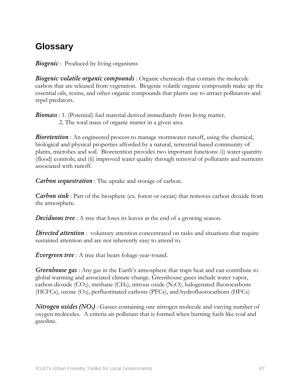# **Glossary**

*Biogenic*: Produced by living organisms

*Biogenic volatile organic compounds* : Organic chemicals that contain the molecule carbon that are released from vegetation. Biogenic volatile organic compounds make up the essential oils, resins, and other organic compounds that plants use to attract pollinators and repel predators.

*Biomass* : 1. (Potential) fuel material derived immediately from living matter. 2. The total mass of organic matter in a given area

**Bioretention** : An engineered process to manage stormwater runoff, using the chemical, biological and physical properties afforded by a natural, terrestrial-based community of plants, microbes and soil. Bioretention provides two important functions: (i) water quantity (flood) controls; and (ii) improved water quality through removal of pollutants and nutrients associated with runoff.

*Carbon sequestration* : The uptake and storage of carbon.

*Carbon sink* : Part of the biosphere (ex. forest or ocean) that removes carbon dioxide from the atmosphere.

*Deciduous tree*: A tree that loses its leaves at the end of a growing season.

**Directed attention**: voluntary attention concentrated on tasks and situations that require sustained attention and are not inherently easy to attend to.

*Evergreen tree* : A tree that bears foliage year-round.

*Greenhouse gas :* Any gas in the Earth's atmosphere that traps heat and can contribute to global warming and associated climate change. Greenhouse gases include water vapor, carbon dioxide  $(CO_2)$ , methane  $(CH_4)$ , nitrous oxide  $(N_2O)$ , halogenated fluorocarbons (HCFCs), ozone (O3), perfluorinated carbons (PFCs), and hydrofluorocarbons (HFCs)

*Nitrogen oxides (NO<sub>x</sub>)* : Gasses containing one nitrogen molecule and varying number of oxygen molecules. A criteria air pollutant that is formed when burning fuels like coal and gasoline.